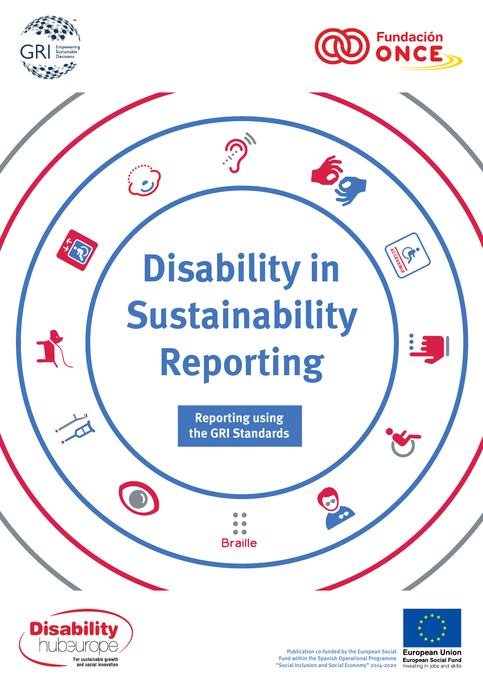



# **Disability in Sustainability Reporting**

**Reporting using the GRI Standards**

> $\bullet$ **Braille**





Publication co-funded by the European Social Fund within the Spanish Operational Programme "Social Inclusion and Social Economy" 2014-2020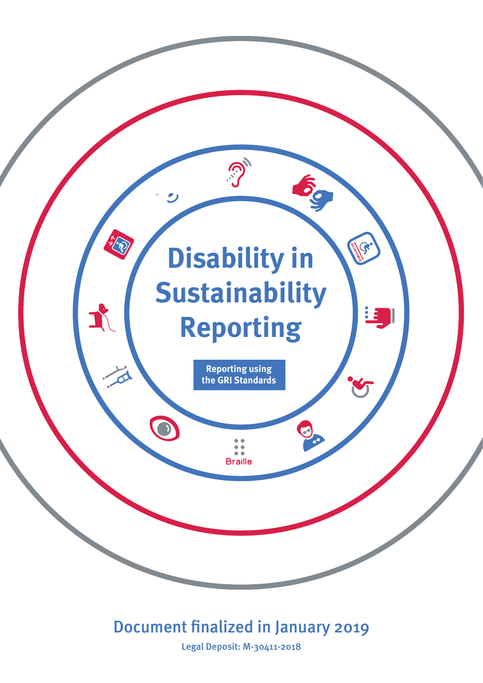

# Document fnalized in January 2019

Legal Deposit: M-30411-2018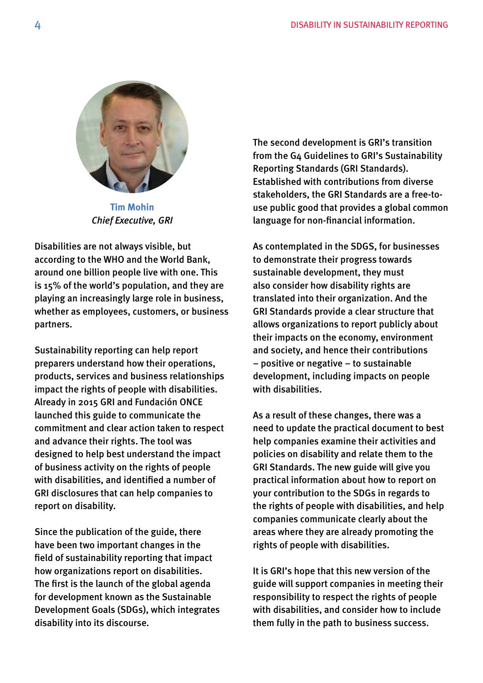

**Tim Mohin**  *Chief Executive, GRI* 

 Disabilities are not always visible, but according to the WHO and the World Bank, around one billion people live with one. This is 15% of the world's population, and they are playing an increasingly large role in business, whether as employees, customers, or business partners.

Sustainability reporting can help report preparers understand how their operations, products, services and business relationships impact the rights of people with disabilities. Already in 2015 GRI and Fundación ONCE launched this guide to communicate the commitment and clear action taken to respect and advance their rights. The tool was designed to help best understand the impact of business activity on the rights of people with disabilities, and identifed a number of GRI disclosures that can help companies to report on disability.

Since the publication of the guide, there have been two important changes in the feld of sustainability reporting that impact how organizations report on disabilities. The frst is the launch of the global agenda for development known as the Sustainable Development Goals (SDGs), which integrates disability into its discourse.

The second development is GRI's transition from the G4 Guidelines to GRI's Sustainability Reporting Standards (GRI Standards). Established with contributions from diverse stakeholders, the GRI Standards are a free-touse public good that provides a global common language for non-fnancial information.

As contemplated in the SDGS, for businesses to demonstrate their progress towards sustainable development, they must also consider how disability rights are translated into their organization. And the GRI Standards provide a clear structure that allows organizations to report publicly about their impacts on the economy, environment and society, and hence their contributions – positive or negative – to sustainable development, including impacts on people with disabilities.

As a result of these changes, there was a need to update the practical document to best help companies examine their activities and policies on disability and relate them to the GRI Standards. The new guide will give you practical information about how to report on your contribution to the SDGs in regards to the rights of people with disabilities, and help companies communicate clearly about the areas where they are already promoting the rights of people with disabilities.

It is GRI's hope that this new version of the guide will support companies in meeting their responsibility to respect the rights of people with disabilities, and consider how to include them fully in the path to business success.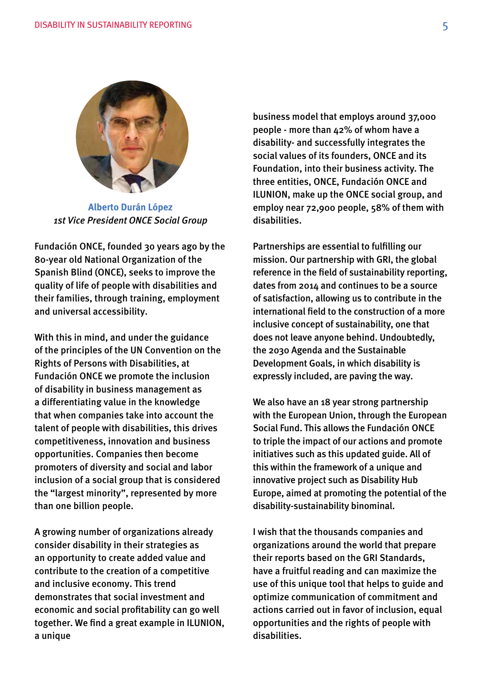

**Alberto Durán López**  *1st Vice President ONCE Social Group*

Fundación ONCE, founded 30 years ago by the 80-year old National Organization of the Spanish Blind (ONCE), seeks to improve the quality of life of people with disabilities and their families, through training, employment and universal accessibility.

With this in mind, and under the guidance of the principles of the UN Convention on the Rights of Persons with Disabilities, at Fundación ONCE we promote the inclusion of disability in business management as a differentiating value in the knowledge that when companies take into account the talent of people with disabilities, this drives competitiveness, innovation and business opportunities. Companies then become promoters of diversity and social and labor inclusion of a social group that is considered the "largest minority", represented by more than one billion people.

A growing number of organizations already consider disability in their strategies as an opportunity to create added value and contribute to the creation of a competitive and inclusive economy. This trend demonstrates that social investment and economic and social proftability can go well together. We find a great example in ILUNION, a unique

business model that employs around 37,000 people - more than 42% of whom have a disability- and successfully integrates the social values of its founders, ONCE and its Foundation, into their business activity. The three entities, ONCE, Fundación ONCE and ILUNION, make up the ONCE social group, and employ near 72,900 people, 58% of them with disabilities.

Partnerships are essential to fulflling our mission. Our partnership with GRI, the global reference in the feld of sustainability reporting, dates from 2014 and continues to be a source of satisfaction, allowing us to contribute in the international field to the construction of a more inclusive concept of sustainability, one that does not leave anyone behind. Undoubtedly, the 2030 Agenda and the Sustainable Development Goals, in which disability is expressly included, are paving the way.

We also have an 18 year strong partnership with the European Union, through the European Social Fund. This allows the Fundación ONCE to triple the impact of our actions and promote initiatives such as this updated guide. All of this within the framework of a unique and innovative project such as Disability Hub Europe, aimed at promoting the potential of the disability-sustainability binominal.

I wish that the thousands companies and organizations around the world that prepare their reports based on the GRI Standards, have a fruitful reading and can maximize the use of this unique tool that helps to guide and optimize communication of commitment and actions carried out in favor of inclusion, equal opportunities and the rights of people with disabilities.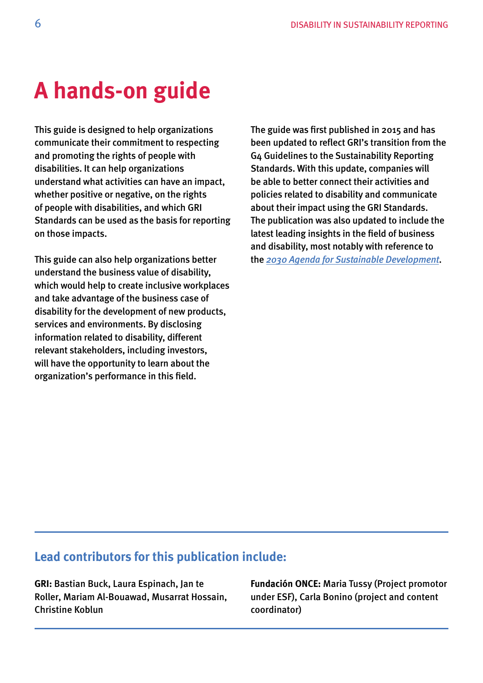# **A hands-on guide**

This guide is designed to help organizations communicate their commitment to respecting and promoting the rights of people with disabilities. It can help organizations understand what activities can have an impact, whether positive or negative, on the rights of people with disabilities, and which GRI Standards can be used as the basis for reporting on those impacts.

This guide can also help organizations better understand the business value of disability, which would help to create inclusive workplaces and take advantage of the business case of disability for the development of new products, services and environments. By disclosing information related to disability, different relevant stakeholders, including investors, will have the opportunity to learn about the organization's performance in this feld.

The guide was frst published in 2015 and has been updated to reflect GRI's transition from the G4 Guidelines to the Sustainability Reporting Standards. With this update, companies will be able to better connect their activities and policies related to disability and communicate about their impact using the GRI Standards. The publication was also updated to include the latest leading insights in the field of business and disability, most notably with reference to the *[2030 Agenda for Sustainable Development](https://sustainabledevelopment.un.org/post2015/transformingourworld)*.

# **Lead contributors for this publication include:**

**GRI:** Bastian Buck, Laura Espinach, Jan te Roller, Mariam Al-Bouawad, Musarrat Hossain, Christine Koblun

**Fundación ONCE:** Maria Tussy (Project promotor under ESF), Carla Bonino (project and content coordinator)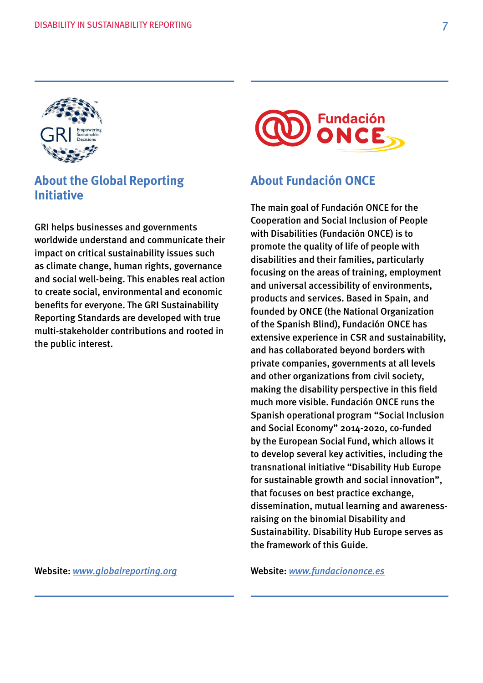

# **About the Global Reporting Initiative**

GRI helps businesses and governments worldwide understand and communicate their impact on critical sustainability issues such as climate change, human rights, governance and social well-being. This enables real action to create social, environmental and economic benefts for everyone. The GRI Sustainability Reporting Standards are developed with true multi-stakeholder contributions and rooted in the public interest.

Website: *[www.globalreporting.org](http://www.globalreporting.org)* 



# **About Fundación ONCE**

The main goal of Fundación ONCE for the Cooperation and Social Inclusion of People with Disabilities (Fundación ONCE) is to promote the quality of life of people with disabilities and their families, particularly focusing on the areas of training, employment and universal accessibility of environments, products and services. Based in Spain, and founded by ONCE (the National Organization of the Spanish Blind), Fundación ONCE has extensive experience in CSR and sustainability, and has collaborated beyond borders with private companies, governments at all levels and other organizations from civil society, making the disability perspective in this feld much more visible. Fundación ONCE runs the Spanish operational program "Social Inclusion and Social Economy" 2014-2020, co-funded by the European Social Fund, which allows it to develop several key activities, including the transnational initiative "Disability Hub Europe for sustainable growth and social innovation", that focuses on best practice exchange, dissemination, mutual learning and awarenessraising on the binomial Disability and Sustainability. Disability Hub Europe serves as the framework of this Guide.

Website: *[www.fundaciononce.es](http://www.fundaciononce.es/)*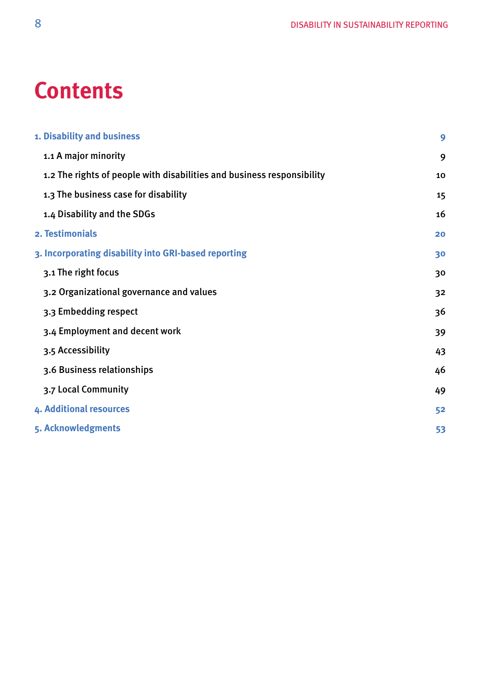# **Contents**

| 1. Disability and business                                             | 9  |
|------------------------------------------------------------------------|----|
| 1.1 A major minority                                                   | 9  |
| 1.2 The rights of people with disabilities and business responsibility | 10 |
| 1.3 The business case for disability                                   | 15 |
| 1.4 Disability and the SDGs                                            | 16 |
| 2. Testimonials                                                        | 20 |
| 3. Incorporating disability into GRI-based reporting                   | 30 |
| 3.1 The right focus                                                    | 30 |
| 3.2 Organizational governance and values                               | 32 |
| 3.3 Embedding respect                                                  | 36 |
| 3.4 Employment and decent work                                         | 39 |
| 3.5 Accessibility                                                      | 43 |
| 3.6 Business relationships                                             | 46 |
| 3.7 Local Community                                                    | 49 |
| 4. Additional resources                                                | 52 |
| 5. Acknowledgments                                                     | 53 |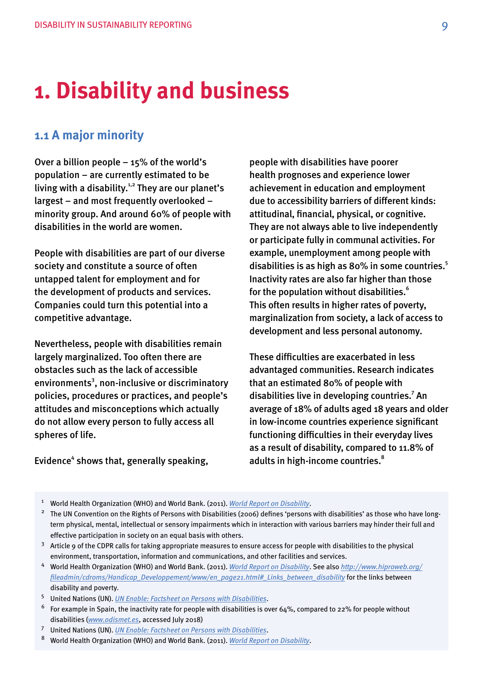# <span id="page-8-0"></span>**1. Disability and business**

# **1.1 A major minority**

Over a billion people – 15% of the world's population – are currently estimated to be living with a disability.<sup>1,2</sup> They are our planet's largest – and most frequently overlooked – minority group. And around 60% of people with disabilities in the world are women.

People with disabilities are part of our diverse society and constitute a source of often untapped talent for employment and for the development of products and services. Companies could turn this potential into a competitive advantage.

Nevertheless, people with disabilities remain largely marginalized. Too often there are obstacles such as the lack of accessible environments<sup>3</sup>, non-inclusive or discriminatory policies, procedures or practices, and people's attitudes and misconceptions which actually do not allow every person to fully access all spheres of life.

# Evidence<sup>4</sup> shows that, generally speaking,

people with disabilities have poorer health prognoses and experience lower achievement in education and employment due to accessibility barriers of different kinds: attitudinal, fnancial, physical, or cognitive. They are not always able to live independently or participate fully in communal activities. For example, unemployment among people with disabilities is as high as 80% in some countries. $5$ Inactivity rates are also far higher than those for the population without disabilities.<sup>6</sup> This often results in higher rates of poverty, marginalization from society, a lack of access to development and less personal autonomy.

These difficulties are exacerbated in less advantaged communities. Research indicates that an estimated 80% of people with disabilities live in developing countries.<sup>7</sup> An average of 18% of adults aged 18 years and older in low-income countries experience signifcant functioning difficulties in their everyday lives as a result of disability, compared to 11.8% of adults in high-income countries.<sup>8</sup>

- 6 For example in Spain, the inactivity rate for people with disabilities is over 64%, compared to 22% for people without disabilities (*[www.odismet.es](http://www.odismet.es)*, accessed July 2018)
- 7 United Nations (UN). *[UN Enable: Factsheet on Persons with Disabilities](https://www.un.org/development/desa/disabilities/resources/factsheet-on-persons-with-disabilities.html)*.
- 8 8 World Health Organization (WHO) and World Bank. (2011). *[World Report on Disability](http://www.who.int/disabilities/world_report/2011/report.pdf)*.

 1 World Health Organization (WHO) and World Bank. (2011). *[World Report on Disability](http://www.who.int/disabilities/world_report/2011/report.pdf)*.

<sup>&</sup>lt;sup>2</sup> The UN Convention on the Rights of Persons with Disabilities (2006) defines 'persons with disabilities' as those who have longterm physical, mental, intellectual or sensory impairments which in interaction with various barriers may hinder their full and effective participation in society on an equal basis with others.

 $3$  Article 9 of the CDPR calls for taking appropriate measures to ensure access for people with disabilities to the physical environment, transportation, information and communications, and other facilities and services.

 4 World Health Organization (WHO) and World Bank. (2011). *[World Report on Disability](http://www.who.int/disabilities/world_report/2011/report.pdf)*. See also *[http://www.hiproweb.org/](http://www.hiproweb.org/fileadmin/cdroms/Handicap_Developpement/www/en_page21.html#_Links_between_disability)  [fleadmin/cdroms/Handicap\\_Developpement/www/en\\_page21.html#\\_Links\\_between\\_disability](http://www.hiproweb.org/fileadmin/cdroms/Handicap_Developpement/www/en_page21.html#_Links_between_disability)* for the links between disability and poverty.

 5 United Nations (UN). *[UN Enable: Factsheet on Persons with Disabilities](https://www.un.org/development/desa/disabilities/resources/factsheet-on-persons-with-disabilities.html)*.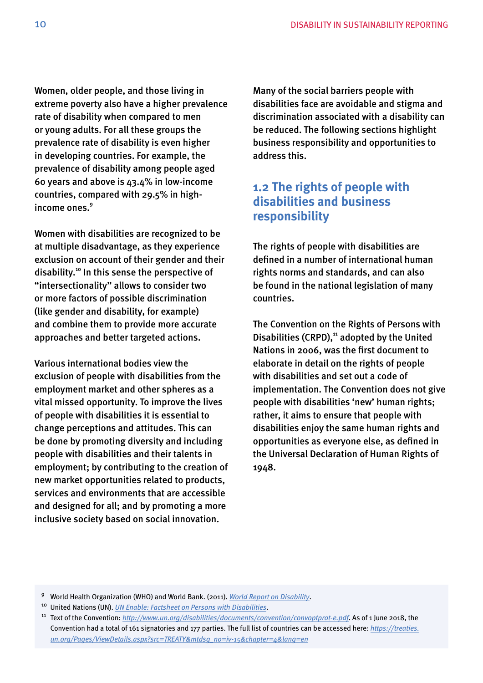<span id="page-9-0"></span>Women, older people, and those living in extreme poverty also have a higher prevalence rate of disability when compared to men or young adults. For all these groups the prevalence rate of disability is even higher in developing countries. For example, the prevalence of disability among people aged 60 years and above is 43.4% in low-income countries, compared with 29.5% in highincome ones.<sup>9</sup>

Women with disabilities are recognized to be at multiple disadvantage, as they experience exclusion on account of their gender and their disability.10 In this sense the perspective of "intersectionality" allows to consider two or more factors of possible discrimination (like gender and disability, for example) and combine them to provide more accurate approaches and better targeted actions.

Various international bodies view the exclusion of people with disabilities from the employment market and other spheres as a vital missed opportunity. To improve the lives of people with disabilities it is essential to change perceptions and attitudes. This can be done by promoting diversity and including people with disabilities and their talents in employment; by contributing to the creation of new market opportunities related to products, services and environments that are accessible and designed for all; and by promoting a more inclusive society based on social innovation.

Many of the social barriers people with disabilities face are avoidable and stigma and discrimination associated with a disability can be reduced. The following sections highlight business responsibility and opportunities to address this.

# **1.2 The rights of people with disabilities and business responsibility**

The rights of people with disabilities are defned in a number of international human rights norms and standards, and can also be found in the national legislation of many countries.

The Convention on the Rights of Persons with Disabilities (CRPD), $11$  adopted by the United Nations in 2006, was the frst document to elaborate in detail on the rights of people with disabilities and set out a code of implementation. The Convention does not give people with disabilities 'new' human rights; rather, it aims to ensure that people with disabilities enjoy the same human rights and opportunities as everyone else, as defned in the Universal Declaration of Human Rights of 1948.

 9 World Health Organization (WHO) and World Bank. (2011). *[World Report on Disability](http://www.who.int/disabilities/world_report/2011/report.pdf)*.

 10 United Nations (UN). *[UN Enable: Factsheet on Persons with Disabilities](https://www.un.org/development/desa/disabilities/resources/factsheet-on-persons-with-disabilities.html)*.

 11 Text of the Convention: *<http://www.un.org/disabilities/documents/convention/convoptprot-e.pdf>*. As of 1 June 2018, the Convention had a total of 161 signatories and 177 parties. The full list of countries can be accessed here: *[https://treaties.](https://treaties.un.org/Pages/ViewDetails.aspx?src=TREATY&mtdsg_no=iv-15&chapter=4&lang=en)  [un.org/Pages/ViewDetails.aspx?src=TREATY&mtdsg\\_no=iv-15&chapter=4&lang=en](https://treaties.un.org/Pages/ViewDetails.aspx?src=TREATY&mtdsg_no=iv-15&chapter=4&lang=en)*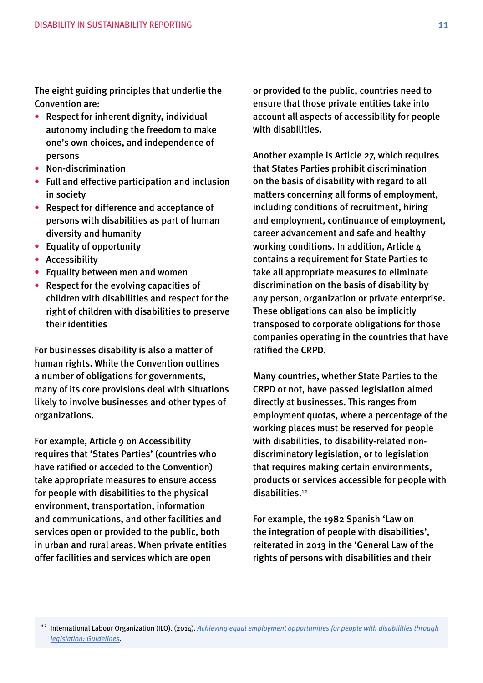The eight guiding principles that underlie the Convention are:

- Respect for inherent dignity, individual autonomy including the freedom to make one's own choices, and independence of persons
- Non-discrimination
- Full and effective participation and inclusion in society
- Respect for difference and acceptance of persons with disabilities as part of human diversity and humanity
- Equality of opportunity
- Accessibility
- Equality between men and women
- Respect for the evolving capacities of children with disabilities and respect for the right of children with disabilities to preserve their identities

For businesses disability is also a matter of human rights. While the Convention outlines a number of obligations for governments, many of its core provisions deal with situations likely to involve businesses and other types of organizations.

For example, Article 9 on Accessibility requires that 'States Parties' (countries who have ratifed or acceded to the Convention) take appropriate measures to ensure access for people with disabilities to the physical environment, transportation, information and communications, and other facilities and services open or provided to the public, both in urban and rural areas. When private entities offer facilities and services which are open

or provided to the public, countries need to ensure that those private entities take into account all aspects of accessibility for people with disabilities.

Another example is Article 27, which requires that States Parties prohibit discrimination on the basis of disability with regard to all matters concerning all forms of employment, including conditions of recruitment, hiring and employment, continuance of employment, career advancement and safe and healthy working conditions. In addition, Article 4 contains a requirement for State Parties to take all appropriate measures to eliminate discrimination on the basis of disability by any person, organization or private enterprise. These obligations can also be implicitly transposed to corporate obligations for those companies operating in the countries that have ratifed the CRPD.

Many countries, whether State Parties to the CRPD or not, have passed legislation aimed directly at businesses. This ranges from employment quotas, where a percentage of the working places must be reserved for people with disabilities, to disability-related nondiscriminatory legislation, or to legislation that requires making certain environments, products or services accessible for people with disabilities.<sup>12</sup>

For example, the 1982 Spanish 'Law on the integration of people with disabilities', reiterated in 2013 in the 'General Law of the rights of persons with disabilities and their

 12 International Labour Organization (ILO). (2014). *[Achieving equal employment opportunities for people with disabilities through](http://www.ilo.org/wcmsp5/groups/public/---ed_emp/---ifp_skills/documents/instructionalmaterial/wcms_162169.pdf)  [legislation: Guidelines](http://www.ilo.org/wcmsp5/groups/public/---ed_emp/---ifp_skills/documents/instructionalmaterial/wcms_162169.pdf)*.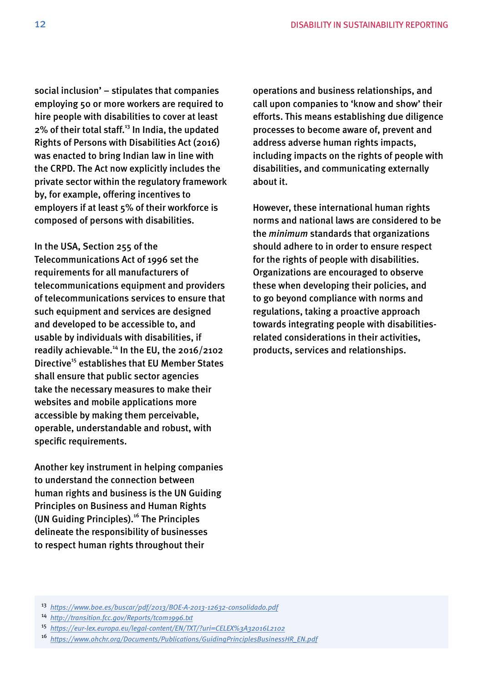social inclusion' – stipulates that companies employing 50 or more workers are required to hire people with disabilities to cover at least  $2\%$  of their total staff.<sup>13</sup> In India, the updated Rights of Persons with Disabilities Act (2016) was enacted to bring Indian law in line with the CRPD. The Act now explicitly includes the private sector within the regulatory framework by, for example, offering incentives to employers if at least 5% of their workforce is composed of persons with disabilities.

In the USA, Section 255 of the Telecommunications Act of 1996 set the requirements for all manufacturers of telecommunications equipment and providers of telecommunications services to ensure that such equipment and services are designed and developed to be accessible to, and usable by individuals with disabilities, if readily achievable.<sup>14</sup> In the EU, the 2016/2102 Directive<sup>15</sup> establishes that EU Member States shall ensure that public sector agencies take the necessary measures to make their websites and mobile applications more accessible by making them perceivable, operable, understandable and robust, with specific requirements.

Another key instrument in helping companies to understand the connection between human rights and business is the UN Guiding Principles on Business and Human Rights (UN Guiding Principles).<sup>16</sup> The Principles delineate the responsibility of businesses to respect human rights throughout their

operations and business relationships, and call upon companies to 'know and show' their efforts. This means establishing due diligence processes to become aware of, prevent and address adverse human rights impacts, including impacts on the rights of people with disabilities, and communicating externally about it.

However, these international human rights norms and national laws are considered to be the *minimum* standards that organizations should adhere to in order to ensure respect for the rights of people with disabilities. Organizations are encouraged to observe these when developing their policies, and to go beyond compliance with norms and regulations, taking a proactive approach towards integrating people with disabilitiesrelated considerations in their activities, products, services and relationships.

 <sup>13</sup>*<https://www.boe.es/buscar/pdf/2013/BOE-A-2013-12632-consolidado.pdf>*

 <sup>14</sup>*<http://transition.fcc.gov/Reports/tcom1996.txt>*

 <sup>15</sup>*<https://eur-lex.europa.eu/legal-content/EN/TXT/?uri=CELEX%3A32016L2102>*

 <sup>16</sup>*[https://www.ohchr.org/Documents/Publications/GuidingPrinciplesBusinessHR\\_EN.pdf](https://www.ohchr.org/Documents/Publications/GuidingPrinciplesBusinessHR_EN.pdf)*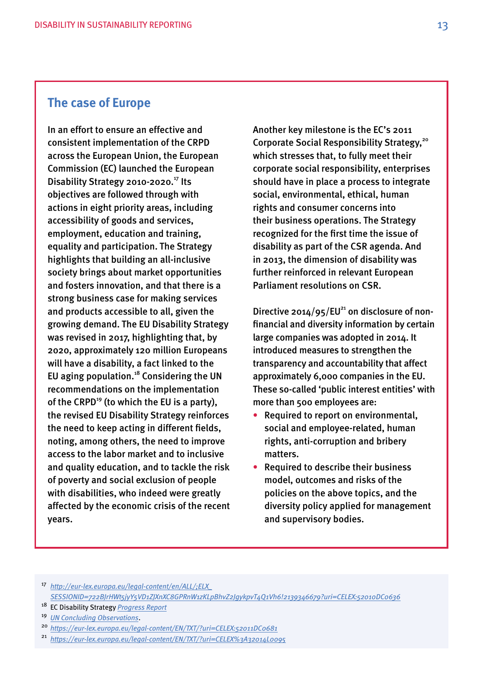# **The case of Europe**

In an effort to ensure an effective and consistent implementation of the CRPD across the European Union, the European Commission (EC) launched the European Disability Strategy 2010-2020.<sup>17</sup> Its objectives are followed through with actions in eight priority areas, including accessibility of goods and services, employment, education and training, equality and participation. The Strategy highlights that building an all-inclusive society brings about market opportunities and fosters innovation, and that there is a strong business case for making services and products accessible to all, given the growing demand. The EU Disability Strategy was revised in 2017, highlighting that, by 2020, approximately 120 million Europeans will have a disability, a fact linked to the EU aging population.18 Considering the UN recommendations on the implementation of the CRPD<sup>19</sup> (to which the EU is a party), the revised EU Disability Strategy reinforces the need to keep acting in different felds, noting, among others, the need to improve access to the labor market and to inclusive and quality education, and to tackle the risk of poverty and social exclusion of people with disabilities, who indeed were greatly affected by the economic crisis of the recent years.

Another key milestone is the EC's 2011 Corporate Social Responsibility Strategy,<sup>20</sup> which stresses that, to fully meet their corporate social responsibility, enterprises should have in place a process to integrate social, environmental, ethical, human rights and consumer concerns into their business operations. The Strategy recognized for the frst time the issue of disability as part of the CSR agenda. And in 2013, the dimension of disability was further reinforced in relevant European Parliament resolutions on CSR.

Directive 2014/95/EU<sup>21</sup> on disclosure of nonfnancial and diversity information by certain large companies was adopted in 2014. It introduced measures to strengthen the transparency and accountability that affect approximately 6,000 companies in the EU. These so-called 'public interest entities' with more than 500 employees are:

- Required to report on environmental, social and employee-related, human rights, anti-corruption and bribery matters.
- Required to describe their business model, outcomes and risks of the policies on the above topics, and the diversity policy applied for management and supervisory bodies.

 <sup>17</sup>*[http://eur-lex.europa.eu/legal-content/en/ALL/;ELX\\_](http://eur-lex.europa.eu/legal-content/en/ALL/;ELX_SESSIONID=722BJrHWt5jyY5VD1ZJXnXC8GPRnW1zKLpBhvZ2JgykpvT4Q1Vh6!2139346679?uri=CELEX:52010DC0636)  [SESSIONID=722BJrHWt5jyY5VD1ZJXnXC8GPRnW1zKLpBhvZ2JgykpvT4Q1Vh6!2139346679?uri=CELEX:52010DC0636](http://eur-lex.europa.eu/legal-content/en/ALL/;ELX_SESSIONID=722BJrHWt5jyY5VD1ZJXnXC8GPRnW1zKLpBhvZ2JgykpvT4Q1Vh6!2139346679?uri=CELEX:52010DC0636)* 

- 18 EC Disability Strategy *[Progress Report](http://ec.europa.eu/social/BlobServlet?docId=16995&langId=en)*
- <sup>19</sup>*[UN Concluding Observations](http://ec.europa.eu/social/BlobServlet?docId=14429&langId=en)*.

<sup>21</sup>*<https://eur-lex.europa.eu/legal-content/EN/TXT/?uri=CELEX%3A32014L0095>* 

 <sup>20</sup>*<https://eur-lex.europa.eu/legal-content/EN/TXT/?uri=CELEX:52011DC0681>*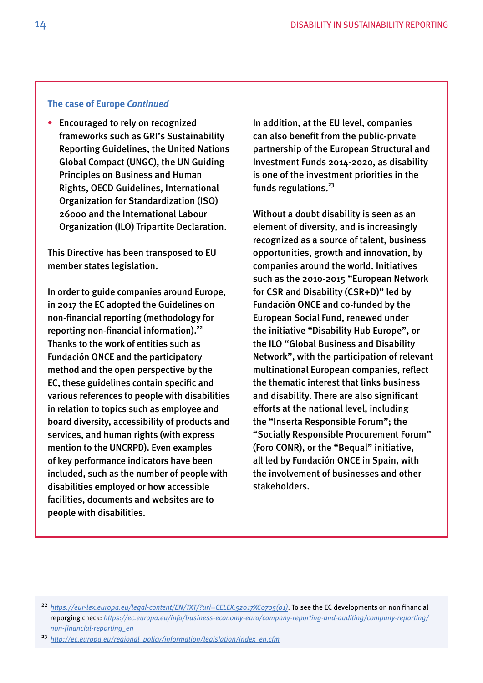### **The case of Europe** *Continued*

• Encouraged to rely on recognized frameworks such as GRI's Sustainability Reporting Guidelines, the United Nations Global Compact (UNGC), the UN Guiding Principles on Business and Human Rights, OECD Guidelines, International Organization for Standardization (ISO) 26000 and the International Labour Organization (ILO) Tripartite Declaration.

This Directive has been transposed to EU member states legislation.

In order to guide companies around Europe, in 2017 the EC adopted the Guidelines on non-fnancial reporting (methodology for reporting non-financial information).<sup>22</sup> Thanks to the work of entities such as Fundación ONCE and the participatory method and the open perspective by the EC, these guidelines contain specifc and various references to people with disabilities in relation to topics such as employee and board diversity, accessibility of products and services, and human rights (with express mention to the UNCRPD). Even examples of key performance indicators have been included, such as the number of people with disabilities employed or how accessible facilities, documents and websites are to people with disabilities.

In addition, at the EU level, companies can also beneft from the public-private partnership of the European Structural and Investment Funds 2014-2020, as disability is one of the investment priorities in the funds regulations. $23$ 

Without a doubt disability is seen as an element of diversity, and is increasingly recognized as a source of talent, business opportunities, growth and innovation, by companies around the world. Initiatives such as the 2010-2015 "European Network for CSR and Disability (CSR+D)" led by Fundación ONCE and co-funded by the European Social Fund, renewed under the initiative "Disability Hub Europe", or the ILO "Global Business and Disability Network", with the participation of relevant multinational European companies, refect the thematic interest that links business and disability. There are also signifcant efforts at the national level, including the "Inserta Responsible Forum"; the "Socially Responsible Procurement Forum" (Foro CONR), or the "Bequal" initiative, all led by Fundación ONCE in Spain, with the involvement of businesses and other stakeholders.

 <sup>22</sup>*[https://eur-lex.europa.eu/legal-content/EN/TXT/?uri=CELEX:52017XC0705\(01\)](https://eur-lex.europa.eu/legal-content/EN/TXT/?uri=CELEX:52017XC0705(01))*. To see the EC developments on non fnancial reporging check: *[https://ec.europa.eu/info/business-economy-euro/company-reporting-and-auditing/company-reporting/](https://ec.europa.eu/info/business-economy-euro/company-reporting-and-auditing/company-reporting/non-financial-reporting_en)  [non-fnancial-reporting\\_en](https://ec.europa.eu/info/business-economy-euro/company-reporting-and-auditing/company-reporting/non-financial-reporting_en)* 

 <sup>23</sup>*[http://ec.europa.eu/regional\\_policy/information/legislation/index\\_en.cfm](http://ec.europa.eu/regional_policy/information/legislation/index_en.cfm)*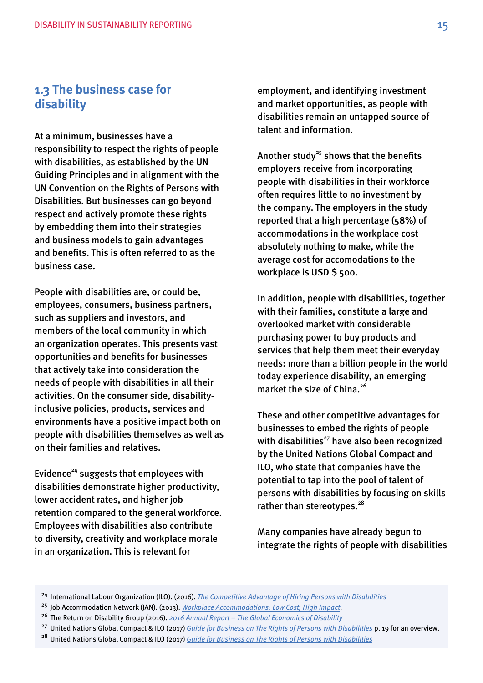# <span id="page-14-0"></span>**1.3 The business case for disability**

At a minimum, businesses have a responsibility to respect the rights of people with disabilities, as established by the UN Guiding Principles and in alignment with the UN Convention on the Rights of Persons with Disabilities. But businesses can go beyond respect and actively promote these rights by embedding them into their strategies and business models to gain advantages and benefts. This is often referred to as the business case.

 an organization operates. This presents vast People with disabilities are, or could be, employees, consumers, business partners, such as suppliers and investors, and members of the local community in which opportunities and benefts for businesses that actively take into consideration the needs of people with disabilities in all their activities. On the consumer side, disabilityinclusive policies, products, services and environments have a positive impact both on people with disabilities themselves as well as on their families and relatives.

Evidence<sup>24</sup> suggests that employees with disabilities demonstrate higher productivity, lower accident rates, and higher job retention compared to the general workforce. Employees with disabilities also contribute to diversity, creativity and workplace morale in an organization. This is relevant for

employment, and identifying investment and market opportunities, as people with disabilities remain an untapped source of talent and information.

Another study<sup>25</sup> shows that the benefits employers receive from incorporating people with disabilities in their workforce often requires little to no investment by the company. The employers in the study reported that a high percentage (58%) of accommodations in the workplace cost absolutely nothing to make, while the average cost for accomodations to the workplace is USD \$ 500.

In addition, people with disabilities, together with their families, constitute a large and overlooked market with considerable purchasing power to buy products and services that help them meet their everyday needs: more than a billion people in the world today experience disability, an emerging market the size of China.<sup>26</sup>

These and other competitive advantages for businesses to embed the rights of people with disabilities $^{27}$  have also been recognized by the United Nations Global Compact and ILO, who state that companies have the potential to tap into the pool of talent of persons with disabilities by focusing on skills rather than stereotypes.<sup>28</sup>

Many companies have already begun to integrate the rights of people with disabilities

 24 International Labour Organization (ILO). (2016). *[The Competitive Advantage of Hiring Persons with Disabilities](http://www.ilo.org/wcmsp5/groups/public/---asia/---ro-bangkok/---ilo-dhaka/documents/publication/wcms_543490.pdf)* 

 25 Job Accommodation Network (JAN). (2013). *[Workplace Accommodations: Low Cost, High Impact](https://askjan.org/publications/Topic-Downloads.cfm?pubid=962628)*.

 26 The Return on Disability Group (2016). *[2016 Annual Report – The Global Economics of Disability](http://www.rod-group.com/sites/default/files/2016 Annual Report - The Global Economics of Disability.pdf)* 

 27 United Nations Global Compact & ILO (2017) *[Guide for Business on The Rights of Persons with Disabilities](https://www.unglobalcompact.org/docs/publications/Accessible_Disabilities_Guide.pdf)* p. 19 for an overview.

 28 United Nations Global Compact & ILO (2017) *[Guide for Business on The Rights of Persons with Disabilities](https://www.unglobalcompact.org/docs/publications/Accessible_Disabilities_Guide.pdf)*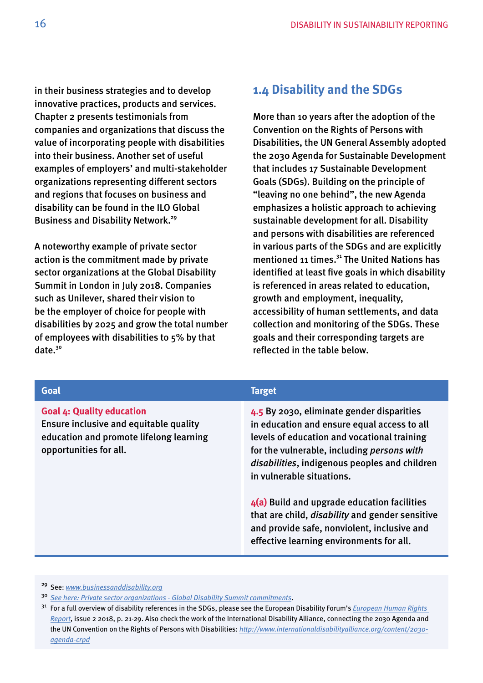<span id="page-15-0"></span>in their business strategies and to develop innovative practices, products and services. Chapter 2 presents testimonials from companies and organizations that discuss the value of incorporating people with disabilities into their business. Another set of useful examples of employers' and multi-stakeholder organizations representing different sectors and regions that focuses on business and disability can be found in the ILO Global Business and Disability Network.<sup>29</sup>

A noteworthy example of private sector action is the commitment made by private sector organizations at the Global Disability Summit in London in July 2018. Companies such as Unilever, shared their vision to be the employer of choice for people with disabilities by 2025 and grow the total number of employees with disabilities to 5% by that date.<sup>30</sup>

# **1.4 Disability and the SDGs**

More than 10 years after the adoption of the Convention on the Rights of Persons with Disabilities, the UN General Assembly adopted the 2030 Agenda for Sustainable Development that includes 17 Sustainable Development Goals (SDGs). Building on the principle of "leaving no one behind", the new Agenda emphasizes a holistic approach to achieving sustainable development for all. Disability and persons with disabilities are referenced in various parts of the SDGs and are explicitly mentioned 11 times.<sup>31</sup> The United Nations has identified at least five goals in which disability is referenced in areas related to education, growth and employment, inequality, accessibility of human settlements, and data collection and monitoring of the SDGs. These goals and their corresponding targets are reflected in the table below.

| Goal                                                                                                                                            | <b>Target</b>                                                                                                                                                                                                                                                                                                                                                                                                                                                             |
|-------------------------------------------------------------------------------------------------------------------------------------------------|---------------------------------------------------------------------------------------------------------------------------------------------------------------------------------------------------------------------------------------------------------------------------------------------------------------------------------------------------------------------------------------------------------------------------------------------------------------------------|
| <b>Goal 4: Quality education</b><br>Ensure inclusive and equitable quality<br>education and promote lifelong learning<br>opportunities for all. | 4.5 By 2030, eliminate gender disparities<br>in education and ensure equal access to all<br>levels of education and vocational training<br>for the vulnerable, including persons with<br>disabilities, indigenous peoples and children<br>in vulnerable situations.<br>$4(a)$ Build and upgrade education facilities<br>that are child, <i>disability</i> and gender sensitive<br>and provide safe, nonviolent, inclusive and<br>effective learning environments for all. |
|                                                                                                                                                 |                                                                                                                                                                                                                                                                                                                                                                                                                                                                           |

29 See: *[www.businessanddisability.org](http://www.businessanddisability.org)* 

<sup>30</sup>*[See here: Private sector organizations - Global Disability Summit commitments](https://www.gov.uk/government/publications/private-sector-organisations)*.

 31 For a full overview of disability references in the SDGs, please see the European Disability Forum's *[European Human Rights](http://www.edf-feph.org/sites/default/files/edf_-_sdgs_human_rights_report_final_accessible.pdf)  [Report](http://www.edf-feph.org/sites/default/files/edf_-_sdgs_human_rights_report_final_accessible.pdf)*, issue 2 2018, p. 21-29. Also check the work of the International Disability Alliance, connecting the 2030 Agenda and the UN Convention on the Rights of Persons with Disabilities: *[http://www.internationaldisabilityalliance.org/content/2030](http://www.internationaldisabilityalliance.org/content/2030-agenda-crpd) [agenda-crpd](http://www.internationaldisabilityalliance.org/content/2030-agenda-crpd)*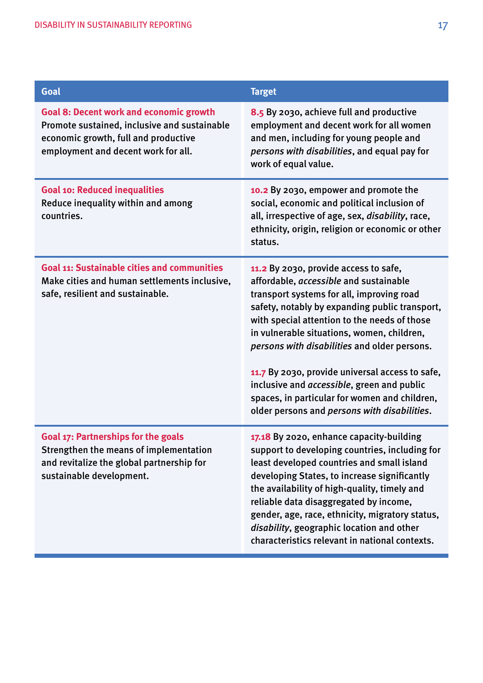| Goal                                                                                                                                                                          | <b>Target</b>                                                                                                                                                                                                                                                                                                                                                                                                                                                                                                                          |
|-------------------------------------------------------------------------------------------------------------------------------------------------------------------------------|----------------------------------------------------------------------------------------------------------------------------------------------------------------------------------------------------------------------------------------------------------------------------------------------------------------------------------------------------------------------------------------------------------------------------------------------------------------------------------------------------------------------------------------|
| <b>Goal 8: Decent work and economic growth</b><br>Promote sustained, inclusive and sustainable<br>economic growth, full and productive<br>employment and decent work for all. | 8.5 By 2030, achieve full and productive<br>employment and decent work for all women<br>and men, including for young people and<br>persons with disabilities, and equal pay for<br>work of equal value.                                                                                                                                                                                                                                                                                                                                |
| <b>Goal 10: Reduced inequalities</b><br>Reduce inequality within and among<br>countries.                                                                                      | 10.2 By 2030, empower and promote the<br>social, economic and political inclusion of<br>all, irrespective of age, sex, <i>disability</i> , race,<br>ethnicity, origin, religion or economic or other<br>status.                                                                                                                                                                                                                                                                                                                        |
| <b>Goal 11: Sustainable cities and communities</b><br>Make cities and human settlements inclusive,<br>safe, resilient and sustainable.                                        | 11.2 By 2030, provide access to safe,<br>affordable, accessible and sustainable<br>transport systems for all, improving road<br>safety, notably by expanding public transport,<br>with special attention to the needs of those<br>in vulnerable situations, women, children,<br>persons with disabilities and older persons.<br>11.7 By 2030, provide universal access to safe,<br>inclusive and <i>accessible</i> , green and public<br>spaces, in particular for women and children,<br>older persons and persons with disabilities. |
| <b>Goal 17: Partnerships for the goals</b><br>Strengthen the means of implementation<br>and revitalize the global partnership for<br>sustainable development.                 | 17.18 By 2020, enhance capacity-building<br>support to developing countries, including for<br>least developed countries and small island<br>developing States, to increase significantly<br>the availability of high-quality, timely and<br>reliable data disaggregated by income,<br>gender, age, race, ethnicity, migratory status,<br>disability, geographic location and other<br>characteristics relevant in national contexts.                                                                                                   |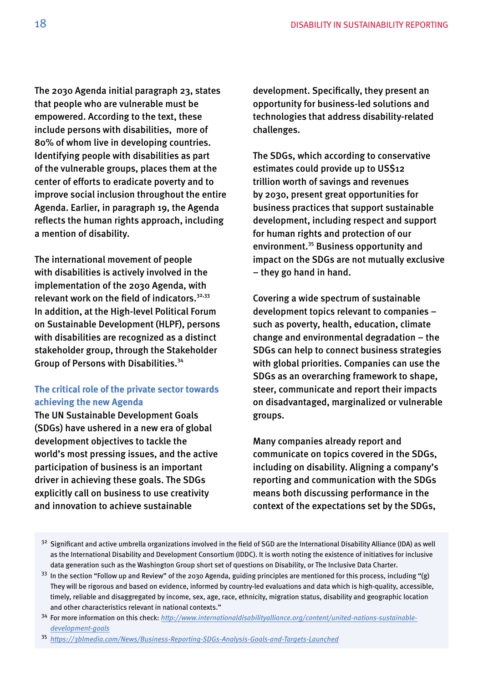The 2030 Agenda initial paragraph 23, states that people who are vulnerable must be empowered. According to the text, these include persons with disabilities, more of 80% of whom live in developing countries. Identifying people with disabilities as part of the vulnerable groups, places them at the center of efforts to eradicate poverty and to improve social inclusion throughout the entire Agenda. Earlier, in paragraph 19, the Agenda reflects the human rights approach, including a mention of disability.

The international movement of people with disabilities is actively involved in the implementation of the 2030 Agenda, with relevant work on the field of indicators. $32,33$ In addition, at the High-level Political Forum on Sustainable Development (HLPF), persons with disabilities are recognized as a distinct stakeholder group, through the Stakeholder Group of Persons with Disabilities.34

# **The critical role of the private sector towards achieving the new Agenda**

The UN Sustainable Development Goals (SDGs) have ushered in a new era of global development objectives to tackle the world's most pressing issues, and the active participation of business is an important driver in achieving these goals. The SDGs explicitly call on business to use creativity and innovation to achieve sustainable

development. Specifcally, they present an opportunity for business-led solutions and technologies that address disability-related challenges.

The SDGs, which according to conservative estimates could provide up to US\$12 trillion worth of savings and revenues by 2030, present great opportunities for business practices that support sustainable development, including respect and support for human rights and protection of our environment.35 Business opportunity and impact on the SDGs are not mutually exclusive – they go hand in hand.

Covering a wide spectrum of sustainable development topics relevant to companies – such as poverty, health, education, climate change and environmental degradation – the SDGs can help to connect business strategies with global priorities. Companies can use the SDGs as an overarching framework to shape, steer, communicate and report their impacts on disadvantaged, marginalized or vulnerable groups.

Many companies already report and communicate on topics covered in the SDGs, including on disability. Aligning a company's reporting and communication with the SDGs means both discussing performance in the context of the expectations set by the SDGs,

<sup>&</sup>lt;sup>32</sup> Significant and active umbrella organizations involved in the field of SGD are the International Disability Alliance (IDA) as well as the International Disability and Development Consortium (IDDC). It is worth noting the existence of initiatives for inclusive data generation such as the Washington Group short set of questions on Disability, or The Inclusive Data Charter.

 $33$  In the section "Follow up and Review" of the 2030 Agenda, guiding principles are mentioned for this process, including "(g) They will be rigorous and based on evidence, informed by country-led evaluations and data which is high-quality, accessible, timely, reliable and disaggregated by income, sex, age, race, ethnicity, migration status, disability and geographic location and other characteristics relevant in national contexts."

 34 For more information on this check: *[http://www.internationaldisabilityalliance.org/content/united-nations-sustainable](http://www.internationaldisabilityalliance.org/content/united-nations-sustainable-development-goals)[development-goals](http://www.internationaldisabilityalliance.org/content/united-nations-sustainable-development-goals)* 

 <sup>35</sup>*<https://3blmedia.com/News/Business-Reporting-SDGs-Analysis-Goals-and-Targets-Launched>*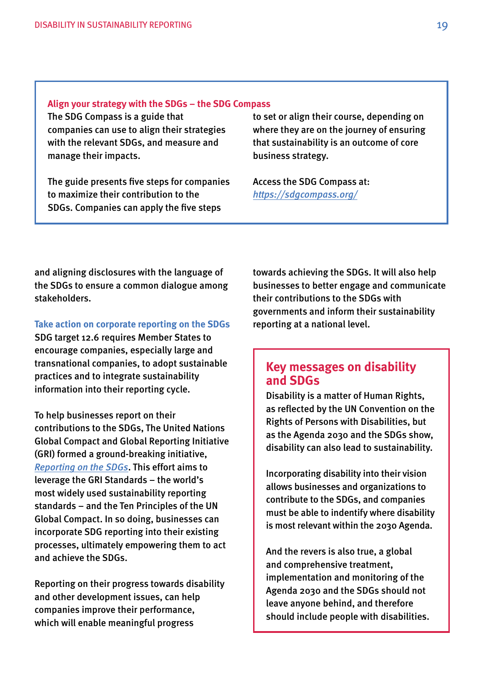The SDG Compass is a guide that companies can use to align their strategies with the relevant SDGs, and measure and manage their impacts.

The guide presents five steps for companies to maximize their contribution to the SDGs. Companies can apply the five steps

to set or align their course, depending on where they are on the journey of ensuring that sustainability is an outcome of core business strategy.

Access the SDG Compass at: *<https://sdgcompass.org/>*

and aligning disclosures with the language of the SDGs to ensure a common dialogue among stakeholders.

**Take action on corporate reporting on the SDGs** 

SDG target 12.6 requires Member States to encourage companies, especially large and transnational companies, to adopt sustainable practices and to integrate sustainability information into their reporting cycle.

To help businesses report on their contributions to the SDGs, The United Nations Global Compact and Global Reporting Initiative (GRI) formed a ground-breaking initiative, *[Reporting on the SDGs](https://www.globalreporting.org/information/SDGs/Pages/Reporting-on-the-SDGs.aspx)*. This effort aims to leverage the GRI Standards – the world's most widely used sustainability reporting standards – and the Ten Principles of the UN Global Compact. In so doing, businesses can incorporate SDG reporting into their existing processes, ultimately empowering them to act and achieve the SDGs.

Reporting on their progress towards disability and other development issues, can help companies improve their performance, which will enable meaningful progress

towards achieving the SDGs. It will also help businesses to better engage and communicate their contributions to the SDGs with governments and inform their sustainability reporting at a national level.

# **Key messages on disability and SDGs**

Disability is a matter of Human Rights, as refected by the UN Convention on the Rights of Persons with Disabilities, but as the Agenda 2030 and the SDGs show, disability can also lead to sustainability.

Incorporating disability into their vision allows businesses and organizations to contribute to the SDGs, and companies must be able to indentify where disability is most relevant within the 2030 Agenda.

And the revers is also true, a global and comprehensive treatment, implementation and monitoring of the Agenda 2030 and the SDGs should not leave anyone behind, and therefore should include people with disabilities.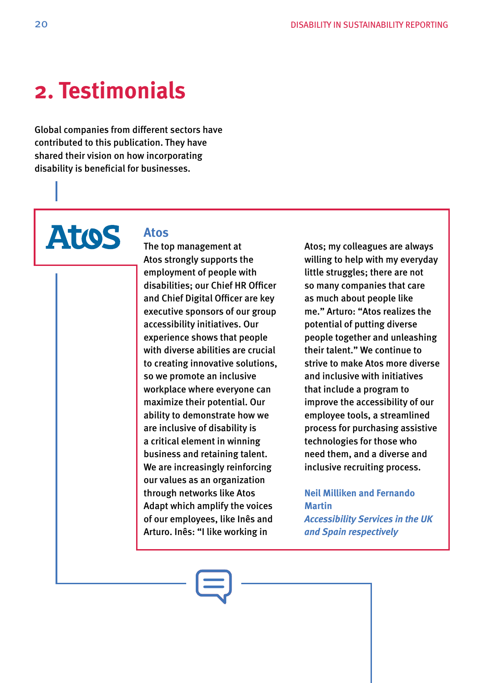# **2. Testimonials**

Global companies from different sectors have contributed to this publication. They have shared their vision on how incorporating disability is beneficial for businesses.



### **Atos**

The top management at Atos strongly supports the employment of people with disabilities; our Chief HR Officer and Chief Digital Officer are key executive sponsors of our group accessibility initiatives. Our experience shows that people with diverse abilities are crucial to creating innovative solutions, so we promote an inclusive workplace where everyone can maximize their potential. Our ability to demonstrate how we are inclusive of disability is a critical element in winning business and retaining talent. We are increasingly reinforcing our values as an organization through networks like Atos Adapt which amplify the voices of our employees, like Inês and Arturo. Inês: "I like working in

Atos; my colleagues are always willing to help with my everyday little struggles; there are not so many companies that care as much about people like me." Arturo: "Atos realizes the potential of putting diverse people together and unleashing their talent." We continue to strive to make Atos more diverse and inclusive with initiatives that include a program to improve the accessibility of our employee tools, a streamlined process for purchasing assistive technologies for those who need them, and a diverse and inclusive recruiting process.

# **Neil Milliken and Fernando Martin**

*Accessibility Services in the UK and Spain respectively*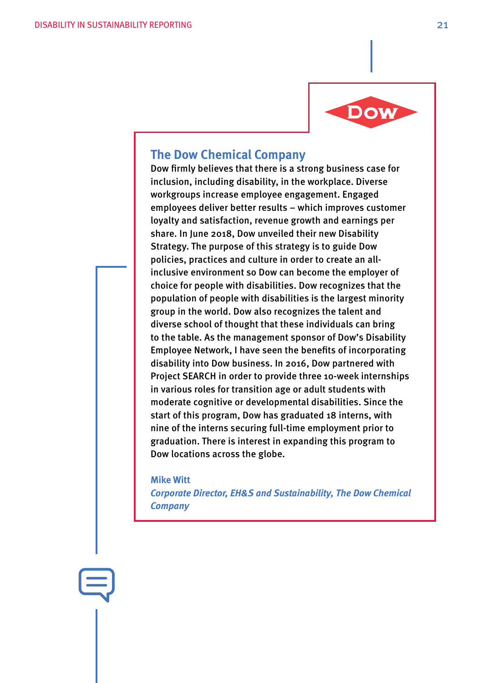

# **The Dow Chemical Company**

Dow firmly believes that there is a strong business case for inclusion, including disability, in the workplace. Diverse workgroups increase employee engagement. Engaged employees deliver better results – which improves customer loyalty and satisfaction, revenue growth and earnings per share. In June 2018, Dow unveiled their new Disability Strategy. The purpose of this strategy is to guide Dow policies, practices and culture in order to create an allinclusive environment so Dow can become the employer of choice for people with disabilities. Dow recognizes that the population of people with disabilities is the largest minority group in the world. Dow also recognizes the talent and diverse school of thought that these individuals can bring to the table. As the management sponsor of Dow's Disability Employee Network, I have seen the benefits of incorporating disability into Dow business. In 2016, Dow partnered with Project SEARCH in order to provide three 10-week internships in various roles for transition age or adult students with moderate cognitive or developmental disabilities. Since the start of this program, Dow has graduated 18 interns, with nine of the interns securing full-time employment prior to graduation. There is interest in expanding this program to Dow locations across the globe.

#### **Mike Witt**

*Corporate Director, EH&S and Sustainability, The Dow Chemical Company*

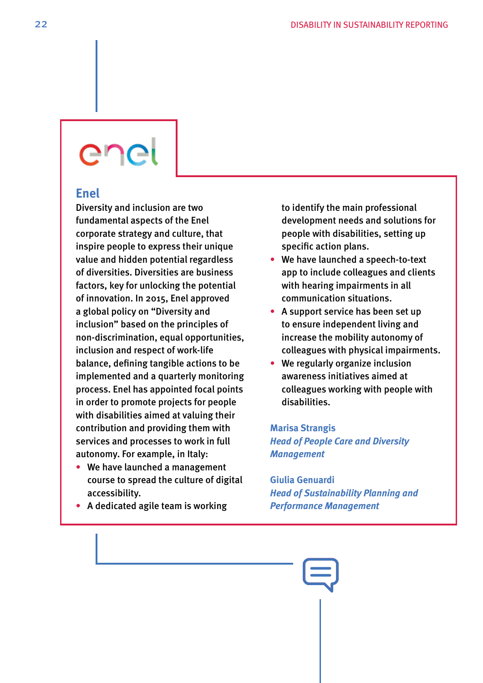# enel

# **Enel**

Diversity and inclusion are two fundamental aspects of the Enel corporate strategy and culture, that inspire people to express their unique value and hidden potential regardless of diversities. Diversities are business factors, key for unlocking the potential of innovation. In 2015, Enel approved a global policy on "Diversity and inclusion" based on the principles of non-discrimination, equal opportunities, inclusion and respect of work-life balance, defining tangible actions to be implemented and a quarterly monitoring process. Enel has appointed focal points in order to promote projects for people with disabilities aimed at valuing their contribution and providing them with services and processes to work in full autonomy. For example, in Italy:

- We have launched a management course to spread the culture of digital accessibility.
- A dedicated agile team is working

to identify the main professional development needs and solutions for people with disabilities, setting up specific action plans.

- We have launched a speech-to-text app to include colleagues and clients with hearing impairments in all communication situations.
- A support service has been set up to ensure independent living and increase the mobility autonomy of colleagues with physical impairments.
- We regularly organize inclusion awareness initiatives aimed at colleagues working with people with disabilities.

# **Marisa Strangis** *Head of People Care and Diversity Management*

**Giulia Genuardi**  *Head of Sustainability Planning and Performance Management*

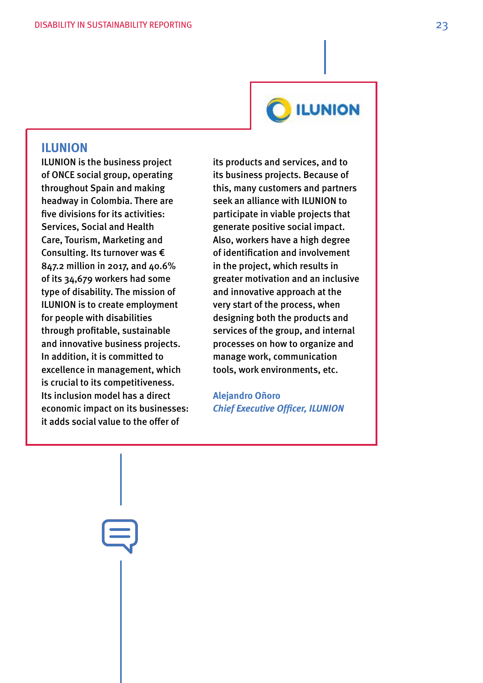

# **ILUNION**

# **ILUNION**

ILUNION is the business project of ONCE social group, operating throughout Spain and making headway in Colombia. There are five divisions for its activities: Services, Social and Health Care, Tourism, Marketing and Consulting. Its turnover was € 847.2 million in 2017, and 40.6% of its 34,679 workers had some type of disability. The mission of ILUNION is to create employment for people with disabilities through profitable, sustainable and innovative business projects. In addition, it is committed to excellence in management, which is crucial to its competitiveness. Its inclusion model has a direct economic impact on its businesses: it adds social value to the offer of

its products and services, and to its business projects. Because of this, many customers and partners seek an alliance with ILUNION to participate in viable projects that generate positive social impact. Also, workers have a high degree of identification and involvement in the project, which results in greater motivation and an inclusive and innovative approach at the very start of the process, when designing both the products and services of the group, and internal processes on how to organize and manage work, communication tools, work environments, etc.

**Alejandro Oñoro** *Chief Executive Officer, ILUNION*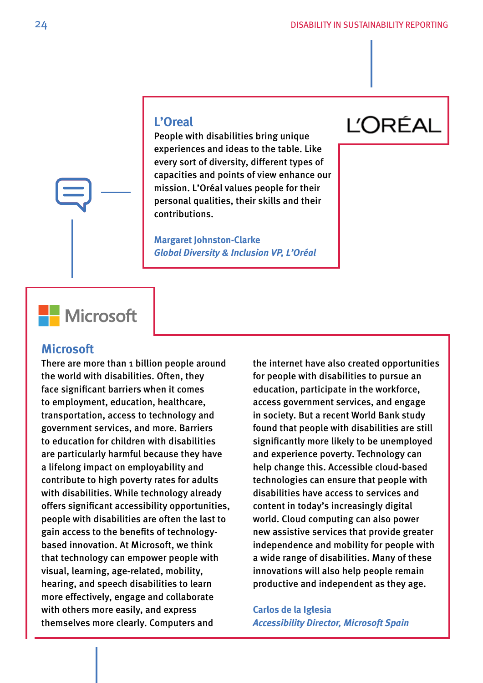# **L'Oreal**

People with disabilities bring unique experiences and ideas to the table. Like every sort of diversity, different types of capacities and points of view enhance our mission. L'Oréal values people for their personal qualities, their skills and their contributions.

**Margaret Johnston-Clarke**  *Global Diversity & Inclusion VP, L'Oréal*

# **L'ORÉAL**

# **Nicrosoft**

# **Microsoft**

There are more than 1 billion people around the world with disabilities. Often, they face significant barriers when it comes to employment, education, healthcare, transportation, access to technology and government services, and more. Barriers to education for children with disabilities are particularly harmful because they have a lifelong impact on employability and contribute to high poverty rates for adults with disabilities. While technology already offers significant accessibility opportunities , people with disabilities are often the last to gain access to the benefits of technologybased innovation. At Microsoft, we think that technology can empower people with visual, learning, age-related, mobility, hearing, and speech disabilities to learn more effectively, engage and collaborate with others more easily, and express themselves more clearly. Computers and

the internet have also created opportunities for people with disabilities to pursue an education, participate in the workforce, access government services, and engage in society. But a recent World Bank study found that people with disabilities are still significantly more likely to be unemployed and experience poverty. Technology can help change this. Accessible cloud-based technologies can ensure that people with disabilities have access to services and content in today's increasingly digital world. Cloud computing can also power new assistive services that provide greater independence and mobility for people with a wide range of disabilities. Many of these innovations will also help people remain productive and independent as they age.

**Carlos de la Iglesia**  *Accessibility Director, Microsoft Spain*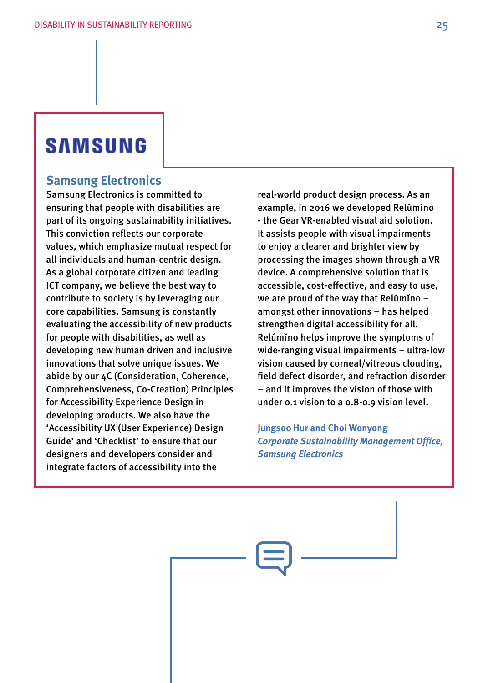# **SAMSUNG**

# **Samsung Electronics**

Samsung Electronics is committed to ensuring that people with disabilities are part of its ongoing sustainability initiatives. This conviction reflects our corporate values, which emphasize mutual respect for all individuals and human-centric design. As a global corporate citizen and leading ICT company, we believe the best way to contribute to society is by leveraging our core capabilities. Samsung is constantly evaluating the accessibility of new products for people with disabilities, as well as developing new human driven and inclusive innovations that solve unique issues. We abide by our 4C (Consideration, Coherence, Comprehensiveness, Co-Creation) Principles for Accessibility Experience Design in developing products. We also have the 'Accessibility UX (User Experience) Design Guide' and 'Checklist' to ensure that our designers and developers consider and integrate factors of accessibility into the

real-world product design process. As an example, in 2016 we developed Relúmino - the Gear VR-enabled visual aid solution. It assists people with visual impairments to enjoy a clearer and brighter view by processing the images shown through a VR device. A comprehensive solution that is accessible, cost-effective, and easy to use, we are proud of the way that Relúmino – amongst other innovations – has helped strengthen digital accessibility for all. Relúmino helps improve the symptoms of wide-ranging visual impairments – ultra-low vision caused by corneal/vitreous clouding, field defect disorder, and refraction disorder – and it improves the vision of those with under 0.1 vision to a 0.8-0.9 vision level.

**Jungsoo Hur and Choi Wonyong**  *Corporate Sustainability Management Office, Samsung Electronics*

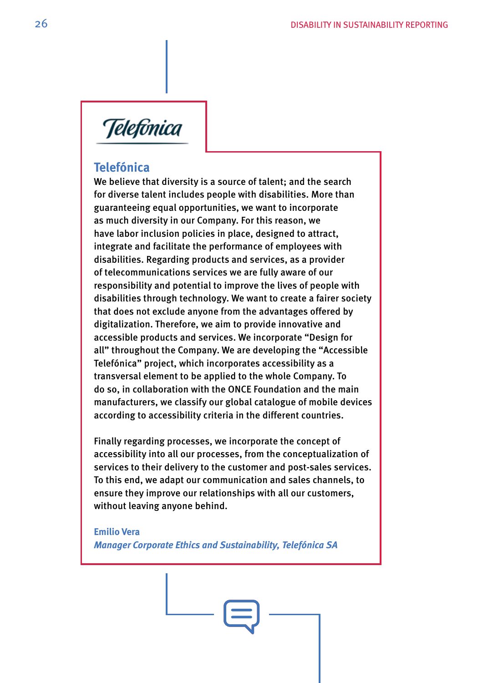

# **Telefónica**

We believe that diversity is a source of talent; and the search for diverse talent includes people with disabilities. More than guaranteeing equal opportunities, we want to incorporate as much diversity in our Company. For this reason, we have labor inclusion policies in place, designed to attract, integrate and facilitate the performance of employees with disabilities. Regarding products and services, as a provider of telecommunications services we are fully aware of our responsibility and potential to improve the lives of people with disabilities through technology. We want to create a fairer society that does not exclude anyone from the advantages offered by digitalization. Therefore, we aim to provide innovative and accessible products and services. We incorporate "Design for all" throughout the Company. We are developing the "Accessible Telefónica" project, which incorporates accessibility as a transversal element to be applied to the whole Company. To do so, in collaboration with the ONCE Foundation and the main manufacturers, we classify our global catalogue of mobile devices according to accessibility criteria in the different countries.

Finally regarding processes, we incorporate the concept of accessibility into all our processes, from the conceptualization of services to their delivery to the customer and post-sales services. To this end, we adapt our communication and sales channels, to ensure they improve our relationships with all our customers, without leaving anyone behind.

**Emilio Vera** *Manager Corporate Ethics and Sustainability, Telefónica SA*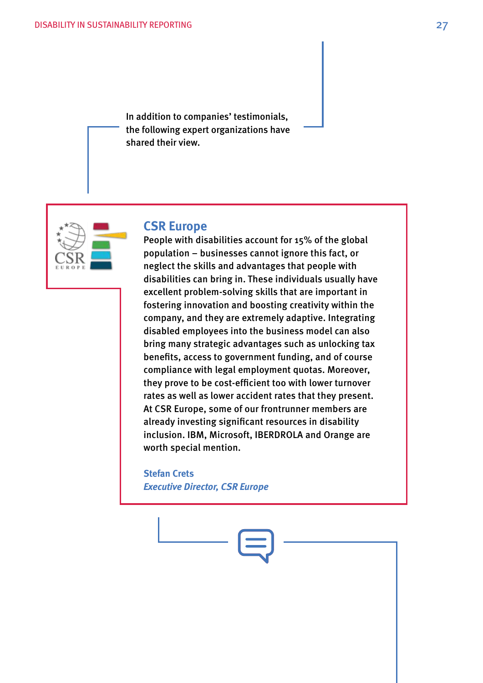In addition to companies' testimonials, the following expert organizations have shared their view.



### **CSR Europe**

People with disabilities account for 15% of the global population – businesses cannot ignore this fact, or neglect the skills and advantages that people with disabilities can bring in. These individuals usually have excellent problem-solving skills that are important in fostering innovation and boosting creativity within the company, and they are extremely adaptive. Integrating disabled employees into the business model can also bring many strategic advantages such as unlocking tax benefits, access to government funding, and of course compliance with legal employment quotas. Moreover, they prove to be cost-efficient too with lower turnover rates as well as lower accident rates that they present. At CSR Europe, some of our frontrunner members are already investing significant resources in disability inclusion. IBM, Microsoft, IBERDROLA and Orange are worth special mention.

**Stefan Crets**  *Executive Director, CSR Europe* 

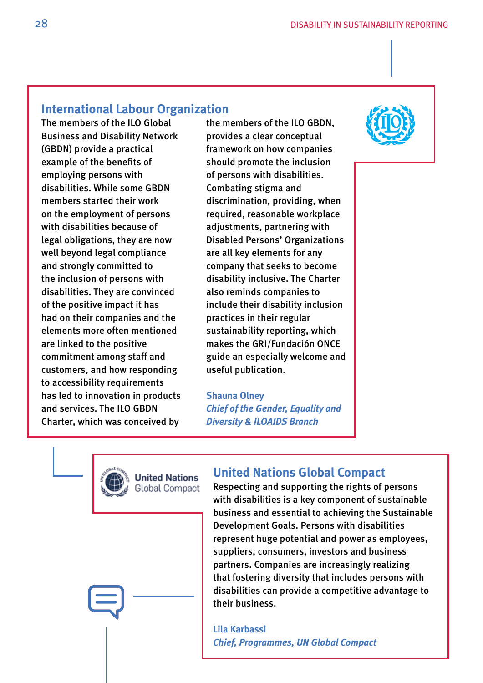# **International Labour Organization**

The members of the ILO Global Business and Disability Network (GBDN) provide a practical example of the benefits of employing persons with disabilities. While some GBDN members started their work on the employment of persons with disabilities because of legal obligations, they are now well beyond legal compliance and strongly committed to the inclusion of persons with disabilities. They are convinced of the positive impact it has had on their companies and the elements more often mentioned are linked to the positive commitment among staff and customers, and how responding to accessibility requirements has led to innovation in products and services. The ILO GBDN Charter, which was conceived by

the members of the ILO GBDN, provides a clear conceptual framework on how companies should promote the inclusion of persons with disabilities. Combating stigma and discrimination, providing, when required, reasonable workplace adjustments, partnering with Disabled Persons' Organizations are all key elements for any company that seeks to become disability inclusive. The Charter also reminds companies to include their disability inclusion practices in their regular sustainability reporting, which makes the GRI/Fundación ONCE guide an especially welcome and useful publication.

#### **Shauna Olney** *Chief of the Gender, Equality and*

*Diversity & ILOAIDS Branch*





**Jnited Nations Global Compact** 

# **United Nations Global Compact**

Respecting and supporting the rights of persons with disabilities is a key component of sustainable business and essential to achieving the Sustainable Development Goals. Persons with disabilities represent huge potential and power as employees, suppliers, consumers, investors and business partners. Companies are increasingly realizing that fostering diversity that includes persons with disabilities can provide a competitive advantage to their business.

**Lila Karbassi**  *Chief, Programmes, UN Global Compact*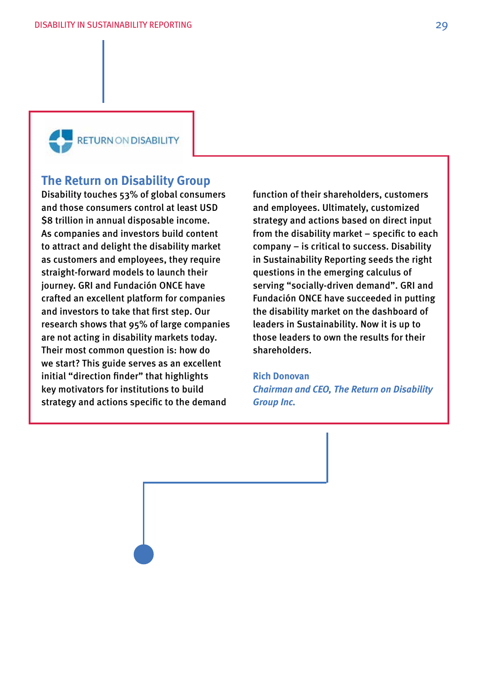

# **The Return on Disability Group**

Disability touches 53% of global consumers and those consumers control at least USD \$8 trillion in annual disposable income. As companies and investors build content to attract and delight the disability market as customers and employees, they require straight-forward models to launch their journey. GRI and Fundación ONCE have crafted an excellent platform for companies and investors to take that first step. Our research shows that 95% of large companies are not acting in disability markets today. Their most common question is: how do we start? This guide serves as an excellent initial "direction finder" that highlights key motivators for institutions to build strategy and actions specific to the demand

function of their shareholders, customers and employees. Ultimately, customized strategy and actions based on direct input from the disability market – specific to each company – is critical to success. Disability in Sustainability Reporting seeds the right questions in the emerging calculus of serving "socially-driven demand". GRI and Fundación ONCE have succeeded in putting the disability market on the dashboard of leaders in Sustainability. Now it is up to those leaders to own the results for their shareholders.

# **Rich Donovan**

*Chairman and CEO, The Return on Disability Group Inc.*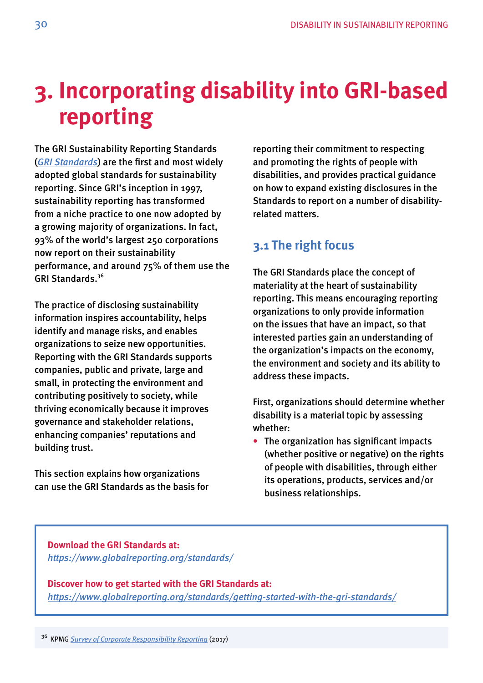# <span id="page-29-0"></span>**3. Incorporating disability into GRI-based reporting**

The GRI Sustainability Reporting Standards (*[GRI Standards](https://www.globalreporting.org/standards)*) are the frst and most widely adopted global standards for sustainability reporting. Since GRI's inception in 1997, sustainability reporting has transformed from a niche practice to one now adopted by a growing majority of organizations. In fact, 93% of the world's largest 250 corporations now report on their sustainability performance, and around 75% of them use the GRI Standards.<sup>36</sup>

The practice of disclosing sustainability information inspires accountability, helps identify and manage risks, and enables organizations to seize new opportunities. Reporting with the GRI Standards supports companies, public and private, large and small, in protecting the environment and contributing positively to society, while thriving economically because it improves governance and stakeholder relations, enhancing companies' reputations and building trust.

This section explains how organizations can use the GRI Standards as the basis for reporting their commitment to respecting and promoting the rights of people with disabilities, and provides practical guidance on how to expand existing disclosures in the Standards to report on a number of disabilityrelated matters.

# **3.1 The right focus**

The GRI Standards place the concept of materiality at the heart of sustainability reporting. This means encouraging reporting organizations to only provide information on the issues that have an impact, so that interested parties gain an understanding of the organization's impacts on the economy, the environment and society and its ability to address these impacts.

First, organizations should determine whether disability is a material topic by assessing whether:

• The organization has signifcant impacts (whether positive or negative) on the rights of people with disabilities, through either its operations, products, services and/or business relationships.

### **Download the GRI Standards at:**  *<https://www.globalreporting.org/standards/>*

**Discover how to get started with the GRI Standards at:**  *<https://www.globalreporting.org/standards/getting-started-with-the-gri-standards/>*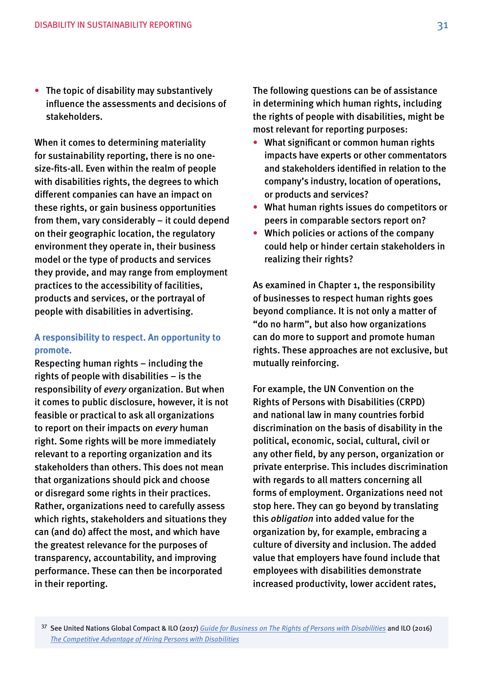• The topic of disability may substantively infuence the assessments and decisions of stakeholders.

When it comes to determining materiality for sustainability reporting, there is no onesize-fts-all. Even within the realm of people with disabilities rights, the degrees to which different companies can have an impact on these rights, or gain business opportunities from them, vary considerably – it could depend on their geographic location, the regulatory environment they operate in, their business model or the type of products and services they provide, and may range from employment practices to the accessibility of facilities, products and services, or the portrayal of people with disabilities in advertising.

### **A responsibility to respect. An opportunity to promote.**

Respecting human rights – including the rights of people with disabilities – is the responsibility of *every* organization. But when it comes to public disclosure, however, it is not feasible or practical to ask all organizations to report on their impacts on *every* human right. Some rights will be more immediately relevant to a reporting organization and its stakeholders than others. This does not mean that organizations should pick and choose or disregard some rights in their practices. Rather, organizations need to carefully assess which rights, stakeholders and situations they can (and do) affect the most, and which have the greatest relevance for the purposes of transparency, accountability, and improving performance. These can then be incorporated in their reporting.

The following questions can be of assistance in determining which human rights, including the rights of people with disabilities, might be most relevant for reporting purposes:

- What signifcant or common human rights impacts have experts or other commentators and stakeholders identifed in relation to the company's industry, location of operations, or products and services?
- What human rights issues do competitors or peers in comparable sectors report on?
- Which policies or actions of the company could help or hinder certain stakeholders in realizing their rights?

As examined in Chapter 1, the responsibility of businesses to respect human rights goes beyond compliance. It is not only a matter of "do no harm", but also how organizations can do more to support and promote human rights. These approaches are not exclusive, but mutually reinforcing.

For example, the UN Convention on the Rights of Persons with Disabilities (CRPD) and national law in many countries forbid discrimination on the basis of disability in the political, economic, social, cultural, civil or any other feld, by any person, organization or private enterprise. This includes discrimination with regards to all matters concerning all forms of employment. Organizations need not stop here. They can go beyond by translating this *obligation* into added value for the organization by, for example, embracing a culture of diversity and inclusion. The added value that employers have found include that employees with disabilities demonstrate increased productivity, lower accident rates,

 37 See United Nations Global Compact & ILO (2017) *[Guide for Business on The Rights of Persons with Disabilities](https://www.unglobalcompact.org/docs/publications/Accessible_Disabilities_Guide.pdf)* and ILO (2016) *[The Competitive Advantage of Hiring Persons with Disabilities](http://www.ilo.org/wcmsp5/groups/public/---asia/---ro-bangkok/---ilo-dhaka/documents/publication/wcms_543490.pdf)*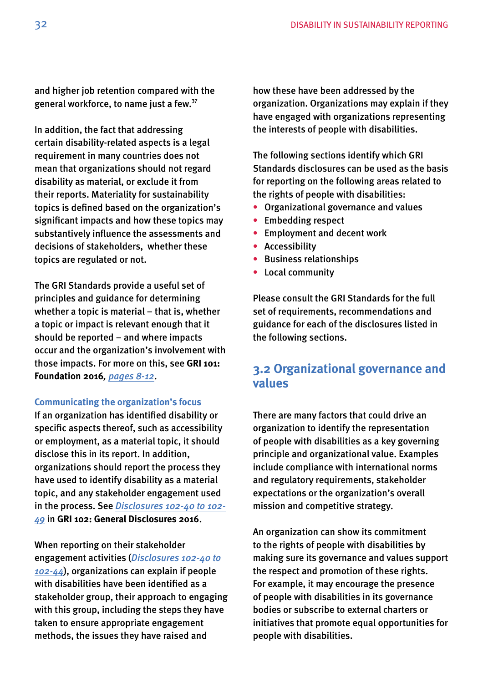<span id="page-31-0"></span>and higher job retention compared with the general workforce, to name just a few.37

In addition, the fact that addressing certain disability-related aspects is a legal requirement in many countries does not mean that organizations should not regard disability as material, or exclude it from their reports. Materiality for sustainability topics is defned based on the organization's signifcant impacts and how these topics may substantively infuence the assessments and decisions of stakeholders, whether these topics are regulated or not.

The GRI Standards provide a useful set of principles and guidance for determining whether a topic is material – that is, whether a topic or impact is relevant enough that it should be reported – and where impacts occur and the organization's involvement with those impacts. For more on this, see **GRI 101: Foundation 2016***, [pages 8-12](https://www.globalreporting.org/standards/media/1036/gri-101-foundation-2016.pdf#page=8)*.

#### **Communicating the organization's focus**

If an organization has identifed disability or specifc aspects thereof, such as accessibility or employment, as a material topic, it should disclose this in its report. In addition, organizations should report the process they have used to identify disability as a material topic, and any stakeholder engagement used in the process. See *[Disclosures 102-40 to 102-](https://www.globalreporting.org/standards/media/1037/gri-102-general-disclosures-2016.pdf#page=29) [49](https://www.globalreporting.org/standards/media/1037/gri-102-general-disclosures-2016.pdf#page=29)* in **GRI 102: General Disclosures 2016**.

When reporting on their stakeholder engagement activities (*[Disclosures 102-40 to](https://www.globalreporting.org/standards/media/1037/gri-102-general-disclosures-2016.pdf#page=29)  [102-44](https://www.globalreporting.org/standards/media/1037/gri-102-general-disclosures-2016.pdf#page=29)*), organizations can explain if people with disabilities have been identifed as a stakeholder group, their approach to engaging with this group, including the steps they have taken to ensure appropriate engagement methods, the issues they have raised and

how these have been addressed by the organization. Organizations may explain if they have engaged with organizations representing the interests of people with disabilities.

The following sections identify which GRI Standards disclosures can be used as the basis for reporting on the following areas related to the rights of people with disabilities:

- Organizational governance and values
- Embedding respect
- Employment and decent work
- Accessibility
- $\bullet$ Business relationships
- Local community

Please consult the GRI Standards for the full set of requirements, recommendations and guidance for each of the disclosures listed in the following sections.

# **3.2 Organizational governance and values**

There are many factors that could drive an organization to identify the representation of people with disabilities as a key governing principle and organizational value. Examples include compliance with international norms and regulatory requirements, stakeholder expectations or the organization's overall mission and competitive strategy.

An organization can show its commitment to the rights of people with disabilities by making sure its governance and values support the respect and promotion of these rights. For example, it may encourage the presence of people with disabilities in its governance bodies or subscribe to external charters or initiatives that promote equal opportunities for people with disabilities.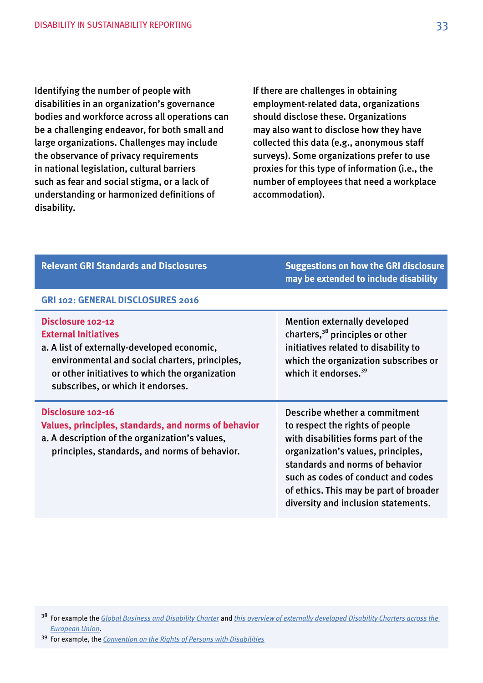Identifying the number of people with disabilities in an organization's governance bodies and workforce across all operations can be a challenging endeavor, for both small and large organizations. Challenges may include the observance of privacy requirements in national legislation, cultural barriers such as fear and social stigma, or a lack of understanding or harmonized defnitions of disability.

If there are challenges in obtaining employment-related data, organizations should disclose these. Organizations may also want to disclose how they have collected this data (e.g., anonymous staff surveys). Some organizations prefer to use proxies for this type of information (i.e., the number of employees that need a workplace accommodation).

| <b>Relevant GRI Standards and Disclosures</b>                                                                                                                                                                                            | <b>Suggestions on how the GRI disclosure</b><br>may be extended to include disability                                                                                                                                                                                                                   |
|------------------------------------------------------------------------------------------------------------------------------------------------------------------------------------------------------------------------------------------|---------------------------------------------------------------------------------------------------------------------------------------------------------------------------------------------------------------------------------------------------------------------------------------------------------|
| <b>GRI 102: GENERAL DISCLOSURES 2016</b>                                                                                                                                                                                                 |                                                                                                                                                                                                                                                                                                         |
| Disclosure 102-12<br><b>External Initiatives</b><br>a. A list of externally-developed economic,<br>environmental and social charters, principles,<br>or other initiatives to which the organization<br>subscribes, or which it endorses. | <b>Mention externally developed</b><br>charters, <sup>38</sup> principles or other<br>initiatives related to disability to<br>which the organization subscribes or<br>which it endorses. <sup>39</sup>                                                                                                  |
| Disclosure 102-16<br>Values, principles, standards, and norms of behavior<br>a. A description of the organization's values,<br>principles, standards, and norms of behavior.                                                             | Describe whether a commitment<br>to respect the rights of people<br>with disabilities forms part of the<br>organization's values, principles,<br>standards and norms of behavior<br>such as codes of conduct and codes<br>of ethics. This may be part of broader<br>diversity and inclusion statements. |

 38 For example the *[Global Business and Disability Charter](http://www.businessanddisability.org/index.php/en/about-the-network/charter)* and *[this overview of externally developed Disability Charters across the](https://ec.europa.eu/info/policies/justice-and-fundamental-rights/combatting-discrimination/tackling-discrimination/diversity-management_en)  [European Union](https://ec.europa.eu/info/policies/justice-and-fundamental-rights/combatting-discrimination/tackling-discrimination/diversity-management_en)*.

 39 For example, the *[Convention on the Rights of Persons with Disabilities](https://www.ohchr.org/en/hrbodies/crpd/pages/conventionrightspersonswithdisabilities.aspx)*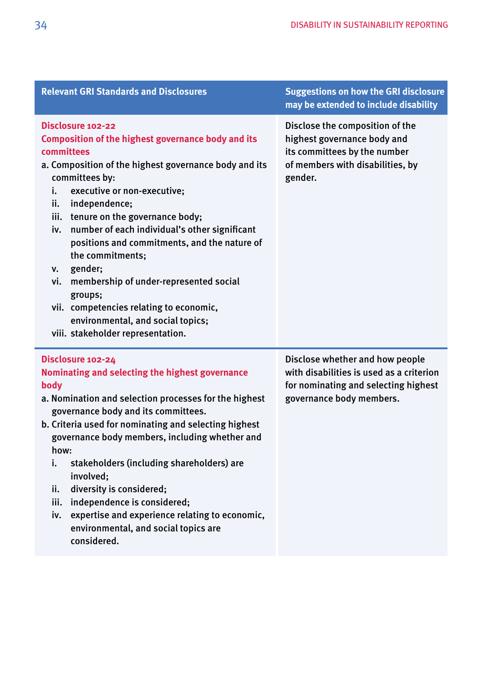| Disclosure 102-22<br><b>Composition of the highest governance body and its</b>                                                                                                                                                                                                                                                                                                                                                                                                                                                                            | Disclose the composition of the<br>highest governance body and<br>its committees by the number                                                  |
|-----------------------------------------------------------------------------------------------------------------------------------------------------------------------------------------------------------------------------------------------------------------------------------------------------------------------------------------------------------------------------------------------------------------------------------------------------------------------------------------------------------------------------------------------------------|-------------------------------------------------------------------------------------------------------------------------------------------------|
| committees<br>a. Composition of the highest governance body and its<br>committees by:<br>i.<br>executive or non-executive;<br>ii.<br>independence;<br>tenure on the governance body;<br>iii.<br>number of each individual's other significant<br>iv.<br>positions and commitments, and the nature of<br>the commitments;<br>gender;<br>v.<br>membership of under-represented social<br>vi.<br>groups;<br>vii. competencies relating to economic,<br>environmental, and social topics;<br>viii. stakeholder representation.                                | of members with disabilities, by<br>gender.                                                                                                     |
| Disclosure 102-24<br>Nominating and selecting the highest governance<br>body<br>a. Nomination and selection processes for the highest<br>governance body and its committees.<br>b. Criteria used for nominating and selecting highest<br>governance body members, including whether and<br>how:<br>stakeholders (including shareholders) are<br>i.<br>involved;<br>diversity is considered;<br>ii.<br>independence is considered;<br>iii.<br>expertise and experience relating to economic,<br>iv.<br>environmental, and social topics are<br>considered. | Disclose whether and how people<br>with disabilities is used as a criterion<br>for nominating and selecting highest<br>governance body members. |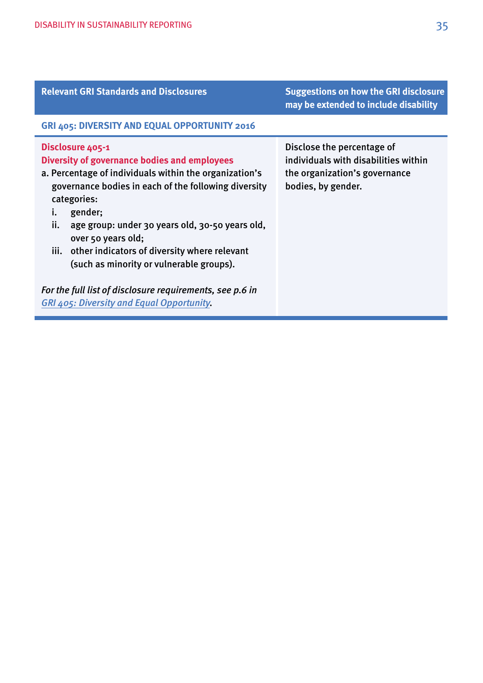| <b>Relevant GRI Standards and Disclosures</b>                                                                                                                                                                                                                                                                                                                                                                                                                                                                              | <b>Suggestions on how the GRI disclosure</b><br>may be extended to include disability                                     |
|----------------------------------------------------------------------------------------------------------------------------------------------------------------------------------------------------------------------------------------------------------------------------------------------------------------------------------------------------------------------------------------------------------------------------------------------------------------------------------------------------------------------------|---------------------------------------------------------------------------------------------------------------------------|
| GRI 405: DIVERSITY AND EQUAL OPPORTUNITY 2016                                                                                                                                                                                                                                                                                                                                                                                                                                                                              |                                                                                                                           |
| Disclosure 405-1<br><b>Diversity of governance bodies and employees</b><br>a. Percentage of individuals within the organization's<br>governance bodies in each of the following diversity<br>categories:<br>gender;<br>i.<br>ii.<br>age group: under 30 years old, 30-50 years old,<br>over 50 years old;<br>iii. other indicators of diversity where relevant<br>(such as minority or vulnerable groups).<br>For the full list of disclosure requirements, see p.6 in<br><b>GRI 405: Diversity and Equal Opportunity.</b> | Disclose the percentage of<br>individuals with disabilities within<br>the organization's governance<br>bodies, by gender. |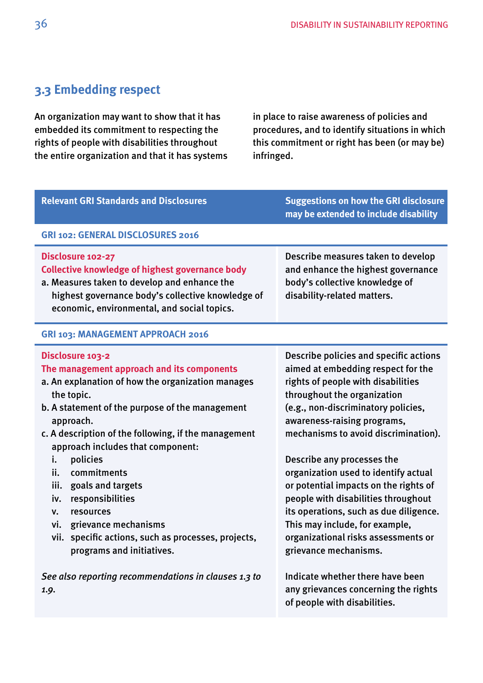# <span id="page-35-0"></span>**3.3 Embedding respect**

An organization may want to show that it has embedded its commitment to respecting the rights of people with disabilities throughout the entire organization and that it has systems

in place to raise awareness of policies and procedures, and to identify situations in which this commitment or right has been (or may be) infringed.

| <b>Relevant GRI Standards and Disclosures</b>                                                                                                                                                                                                                                                                                                                                                                                                                                                                                        | <b>Suggestions on how the GRI disclosure</b><br>may be extended to include disability                                                                                                                                                                                                                                                                                                                                                                                                                                                                             |
|--------------------------------------------------------------------------------------------------------------------------------------------------------------------------------------------------------------------------------------------------------------------------------------------------------------------------------------------------------------------------------------------------------------------------------------------------------------------------------------------------------------------------------------|-------------------------------------------------------------------------------------------------------------------------------------------------------------------------------------------------------------------------------------------------------------------------------------------------------------------------------------------------------------------------------------------------------------------------------------------------------------------------------------------------------------------------------------------------------------------|
| GRI 102: GENERAL DISCLOSURES 2016                                                                                                                                                                                                                                                                                                                                                                                                                                                                                                    |                                                                                                                                                                                                                                                                                                                                                                                                                                                                                                                                                                   |
| Disclosure 102-27<br><b>Collective knowledge of highest governance body</b><br>a. Measures taken to develop and enhance the<br>highest governance body's collective knowledge of<br>economic, environmental, and social topics.                                                                                                                                                                                                                                                                                                      | Describe measures taken to develop<br>and enhance the highest governance<br>body's collective knowledge of<br>disability-related matters.                                                                                                                                                                                                                                                                                                                                                                                                                         |
| GRI 103: MANAGEMENT APPROACH 2016                                                                                                                                                                                                                                                                                                                                                                                                                                                                                                    |                                                                                                                                                                                                                                                                                                                                                                                                                                                                                                                                                                   |
| Disclosure 103-2<br>The management approach and its components<br>a. An explanation of how the organization manages<br>the topic.<br>b. A statement of the purpose of the management<br>approach.<br>c. A description of the following, if the management<br>approach includes that component:<br>policies<br>i.<br>commitments<br>ii.<br>goals and targets<br>iii.<br>responsibilities<br>iv.<br>resources<br>v.<br>grievance mechanisms<br>vi.<br>vii. specific actions, such as processes, projects,<br>programs and initiatives. | Describe policies and specific actions<br>aimed at embedding respect for the<br>rights of people with disabilities<br>throughout the organization<br>(e.g., non-discriminatory policies,<br>awareness-raising programs,<br>mechanisms to avoid discrimination).<br>Describe any processes the<br>organization used to identify actual<br>or potential impacts on the rights of<br>people with disabilities throughout<br>its operations, such as due diligence.<br>This may include, for example,<br>organizational risks assessments or<br>grievance mechanisms. |
| See also reporting recommendations in clauses 1.3 to<br>1.9.                                                                                                                                                                                                                                                                                                                                                                                                                                                                         | Indicate whether there have been<br>any grievances concerning the rights<br>of people with disabilities.                                                                                                                                                                                                                                                                                                                                                                                                                                                          |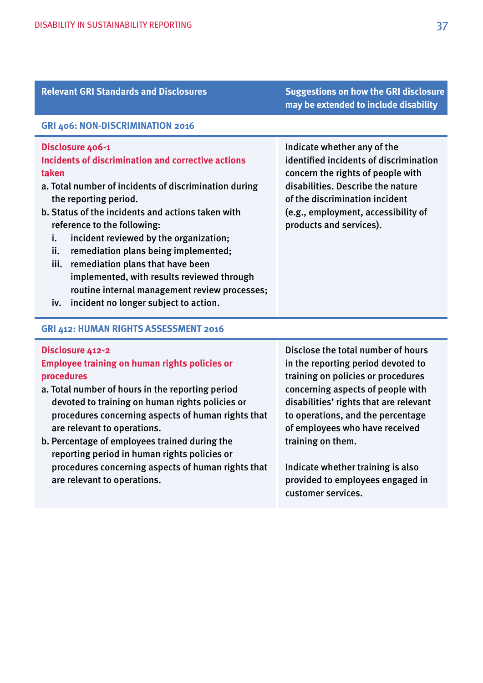| <b>Relevant GRI Standards and Disclosures</b>                                                                                                                                                                                                                                                                                                                                                                                                                                                   | <b>Suggestions on how the GRI disclosure</b><br>may be extended to include disability                                                                                                                                                               |
|-------------------------------------------------------------------------------------------------------------------------------------------------------------------------------------------------------------------------------------------------------------------------------------------------------------------------------------------------------------------------------------------------------------------------------------------------------------------------------------------------|-----------------------------------------------------------------------------------------------------------------------------------------------------------------------------------------------------------------------------------------------------|
| GRI 406: NON-DISCRIMINATION 2016                                                                                                                                                                                                                                                                                                                                                                                                                                                                |                                                                                                                                                                                                                                                     |
| Disclosure 406-1<br>Incidents of discrimination and corrective actions<br>taken<br>a. Total number of incidents of discrimination during<br>the reporting period.<br>b. Status of the incidents and actions taken with<br>reference to the following:<br>incident reviewed by the organization;<br>i.<br>ii.<br>remediation plans being implemented;<br>iii.<br>remediation plans that have been<br>implemented, with results reviewed through<br>routine internal management review processes; | Indicate whether any of the<br>identified incidents of discrimination<br>concern the rights of people with<br>disabilities. Describe the nature<br>of the discrimination incident<br>(e.g., employment, accessibility of<br>products and services). |

iv. incident no longer subject to action.

#### **GRI 412: HUMAN RIGHTS ASSESSMENT 2016**

## **Disclosure 412-2**

# **Employee training on human rights policies or procedures**

- a. Total number of hours in the reporting period devoted to training on human rights policies or procedures concerning aspects of human rights that are relevant to operations.
- b. Percentage of employees trained during the reporting period in human rights policies or procedures concerning aspects of human rights that are relevant to operations.

Disclose the total number of hours in the reporting period devoted to training on policies or procedures concerning aspects of people with disabilities' rights that are relevant to operations, and the percentage of employees who have received training on them.

Indicate whether training is also provided to employees engaged in customer services.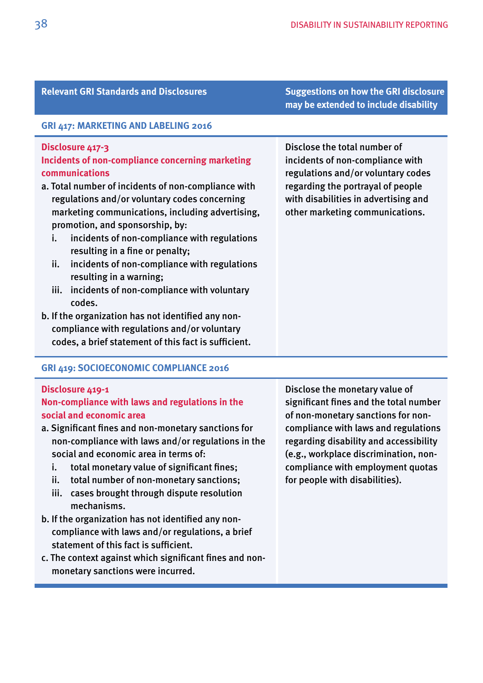### **Relevant GRI Standards and Disclosures Suggestions on how the GRI disclosure**

# **GRI 417: MARKETING AND LABELING 2016**

# **Disclosure 417-3**

# **Incidents of non-compliance concerning marketing communications**

- a. Total number of incidents of non-compliance with regulations and/or voluntary codes concerning marketing communications, including advertising, promotion, and sponsorship, by:
	- i. incidents of non-compliance with regulations resulting in a fine or penalty;
	- ii. incidents of non-compliance with regulations resulting in a warning;
	- iii. incidents of non-compliance with voluntary codes.
- b. If the organization has not identifed any noncompliance with regulations and/or voluntary codes, a brief statement of this fact is sufficient.

# **GRI 419: SOCIOECONOMIC COMPLIANCE 2016**

### **Disclosure 419-1**

# **Non-compliance with laws and regulations in the social and economic area**

- a. Signifcant fnes and non-monetary sanctions for non-compliance with laws and/or regulations in the social and economic area in terms of:
	- i. total monetary value of signifcant fnes;
	- ii. total number of non-monetary sanctions;
	- iii. cases brought through dispute resolution mechanisms.
- b. If the organization has not identifed any noncompliance with laws and/or regulations, a brief statement of this fact is sufficient.
- c. The context against which signifcant fnes and nonmonetary sanctions were incurred.

 Disclose the monetary value of signifcant fnes and the total number of non-monetary sanctions for noncompliance with laws and regulations regarding disability and accessibility (e.g., workplace discrimination, noncompliance with employment quotas for people with disabilities).

Disclose the total number of incidents of non-compliance with regulations and/or voluntary codes regarding the portrayal of people with disabilities in advertising and other marketing communications.

**may be extended to include disability**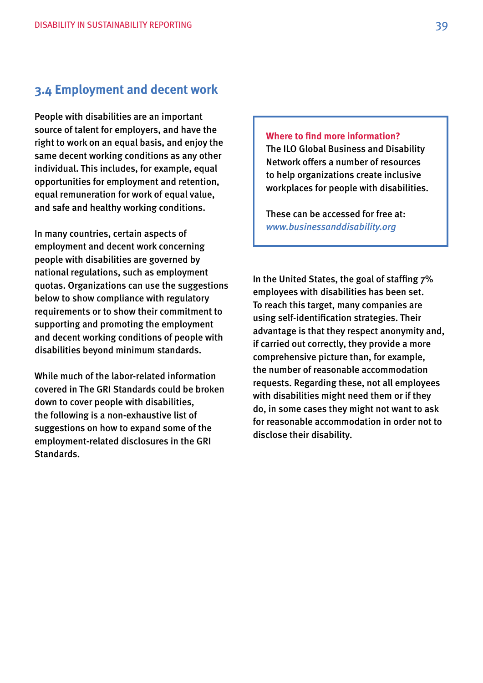# <span id="page-38-0"></span>**3.4 Employment and decent work**

People with disabilities are an important source of talent for employers, and have the right to work on an equal basis, and enjoy the same decent working conditions as any other individual. This includes, for example, equal opportunities for employment and retention, equal remuneration for work of equal value, and safe and healthy working conditions.

In many countries, certain aspects of employment and decent work concerning people with disabilities are governed by national regulations, such as employment quotas. Organizations can use the suggestions below to show compliance with regulatory requirements or to show their commitment to supporting and promoting the employment and decent working conditions of people with disabilities beyond minimum standards.

While much of the labor-related information covered in The GRI Standards could be broken down to cover people with disabilities, the following is a non-exhaustive list of suggestions on how to expand some of the employment-related disclosures in the GRI Standards.

**Where to fnd more information?** 

The ILO Global Business and Disability Network offers a number of resources to help organizations create inclusive workplaces for people with disabilities.

These can be accessed for free at: *[www.businessanddisability.org](http://www.businessanddisability.org)* 

In the United States, the goal of staffing  $7\%$ employees with disabilities has been set. To reach this target, many companies are using self-identifcation strategies. Their advantage is that they respect anonymity and, if carried out correctly, they provide a more comprehensive picture than, for example, the number of reasonable accommodation requests. Regarding these, not all employees with disabilities might need them or if they do, in some cases they might not want to ask for reasonable accommodation in order not to disclose their disability.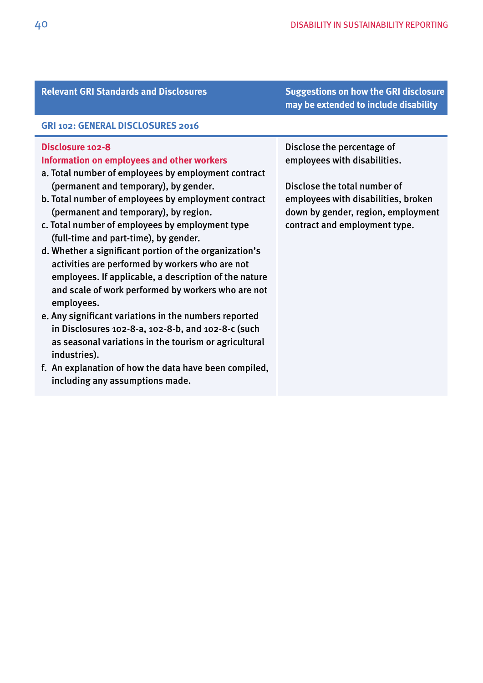#### **Relevant GRI Standards and Disclosures Suggestions on how the GRI disclosure**

#### **GRI 102: GENERAL DISCLOSURES 2016**

# **Disclosure 102-8**

# **Information on employees and other workers**

- a. Total number of employees by employment contract (permanent and temporary), by gender.
- b. Total number of employees by employment contract (permanent and temporary), by region.
- c. Total number of employees by employment type (full-time and part-time), by gender.
- d. Whether a signifcant portion of the organization's activities are performed by workers who are not employees. If applicable, a description of the nature and scale of work performed by workers who are not employees.
- e. Any signifcant variations in the numbers reported in Disclosures 102-8-a, 102-8-b, and 102-8-c (such as seasonal variations in the tourism or agricultural industries).
- f. An explanation of how the data have been compiled, including any assumptions made.

Disclose the percentage of employees with disabilities.

Disclose the total number of employees with disabilities, broken down by gender, region, employment contract and employment type.

**may be extended to include disability**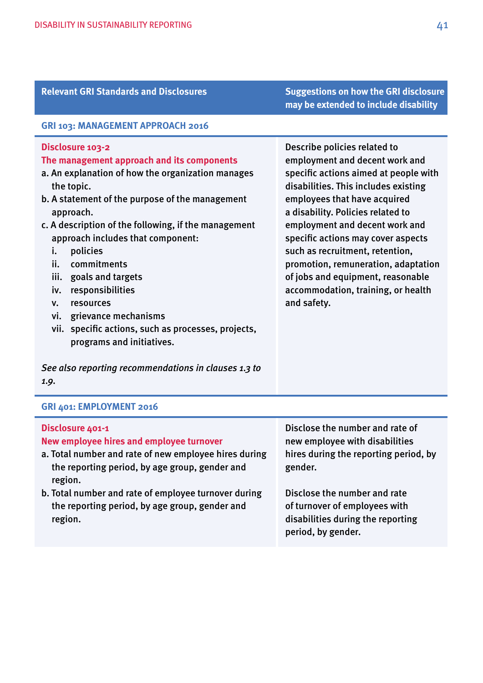| Relevallt ORI Staliuatus allu Disclosules                                                                                                                                                                                                                                                                                                                                                                                                                                                                                               | <b>Suggestions on now the GKI disclosule</b><br>may be extended to include disability                                                                                                                                                                                                                                                                                                                                                                            |
|-----------------------------------------------------------------------------------------------------------------------------------------------------------------------------------------------------------------------------------------------------------------------------------------------------------------------------------------------------------------------------------------------------------------------------------------------------------------------------------------------------------------------------------------|------------------------------------------------------------------------------------------------------------------------------------------------------------------------------------------------------------------------------------------------------------------------------------------------------------------------------------------------------------------------------------------------------------------------------------------------------------------|
| GRI 103: MANAGEMENT APPROACH 2016                                                                                                                                                                                                                                                                                                                                                                                                                                                                                                       |                                                                                                                                                                                                                                                                                                                                                                                                                                                                  |
| Disclosure 103-2<br>The management approach and its components<br>a. An explanation of how the organization manages<br>the topic.<br>b. A statement of the purpose of the management<br>approach.<br>c. A description of the following, if the management<br>approach includes that component:<br>policies<br>i.<br>commitments<br>ii.<br>iii.<br>goals and targets<br>responsibilities<br>iv.<br>resources<br>v.<br>grievance mechanisms<br>vi.<br>specific actions, such as processes, projects,<br>vii.<br>programs and initiatives. | Describe policies related to<br>employment and decent work and<br>specific actions aimed at people with<br>disabilities. This includes existing<br>employees that have acquired<br>a disability. Policies related to<br>employment and decent work and<br>specific actions may cover aspects<br>such as recruitment, retention,<br>promotion, remuneration, adaptation<br>of jobs and equipment, reasonable<br>accommodation, training, or health<br>and safety. |
| See also reporting recommendations in clauses 1.3 to<br>1.9.                                                                                                                                                                                                                                                                                                                                                                                                                                                                            |                                                                                                                                                                                                                                                                                                                                                                                                                                                                  |

# **GRI 401: EMPLOYMENT 2016**

| Disclosure 401-1<br>New employee hires and employee turnover<br>a. Total number and rate of new employee hires during<br>the reporting period, by age group, gender and<br>region. | Disclose the number and rate of<br>new employee with disabilities<br>hires during the reporting period, by<br>gender.    |
|------------------------------------------------------------------------------------------------------------------------------------------------------------------------------------|--------------------------------------------------------------------------------------------------------------------------|
| b. Total number and rate of employee turnover during<br>the reporting period, by age group, gender and<br>region.                                                                  | Disclose the number and rate<br>of turnover of employees with<br>disabilities during the reporting<br>period, by gender. |

**Relevant GRI Standards and Disclosures Suggestions on how the GRI disclosure**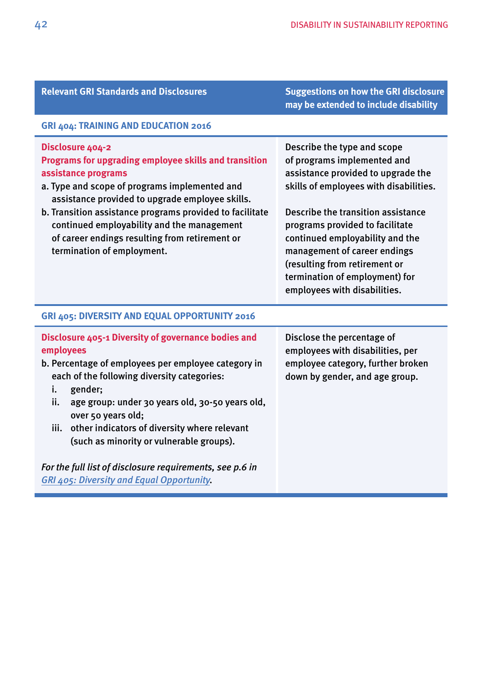| <b>Relevant GRI Standards and Disclosures</b>                                                                                                                                                                                                                                                                                                                                                  | <b>Suggestions on how the GRI disclosure</b><br>may be extended to include disability                                                                                                                                                                                                                                                                                                     |
|------------------------------------------------------------------------------------------------------------------------------------------------------------------------------------------------------------------------------------------------------------------------------------------------------------------------------------------------------------------------------------------------|-------------------------------------------------------------------------------------------------------------------------------------------------------------------------------------------------------------------------------------------------------------------------------------------------------------------------------------------------------------------------------------------|
| GRI 404: TRAINING AND EDUCATION 2016                                                                                                                                                                                                                                                                                                                                                           |                                                                                                                                                                                                                                                                                                                                                                                           |
| Disclosure 404-2<br>Programs for upgrading employee skills and transition<br>assistance programs<br>a. Type and scope of programs implemented and<br>assistance provided to upgrade employee skills.<br>b. Transition assistance programs provided to facilitate<br>continued employability and the management<br>of career endings resulting from retirement or<br>termination of employment. | Describe the type and scope<br>of programs implemented and<br>assistance provided to upgrade the<br>skills of employees with disabilities.<br>Describe the transition assistance<br>programs provided to facilitate<br>continued employability and the<br>management of career endings<br>(resulting from retirement or<br>termination of employment) for<br>employees with disabilities. |
| GRI 405: DIVERSITY AND EQUAL OPPORTUNITY 2016                                                                                                                                                                                                                                                                                                                                                  |                                                                                                                                                                                                                                                                                                                                                                                           |
| Disclosure 405-1 Diversity of governance bodies and<br>employees<br>b. Percentage of employees per employee category in<br>each of the following diversity categories:<br>gender;<br>i.<br>age group: under 30 years old, 30-50 years old,<br>ii.<br>over 50 years old;<br>other indicators of diversity where relevant<br>iii.<br>(such as minority or vulnerable groups).                    | Disclose the percentage of<br>employees with disabilities, per<br>employee category, further broken<br>down by gender, and age group.                                                                                                                                                                                                                                                     |
| For the full list of disclosure requirements, see p.6 in<br><b>GRI 405: Diversity and Equal Opportunity.</b>                                                                                                                                                                                                                                                                                   |                                                                                                                                                                                                                                                                                                                                                                                           |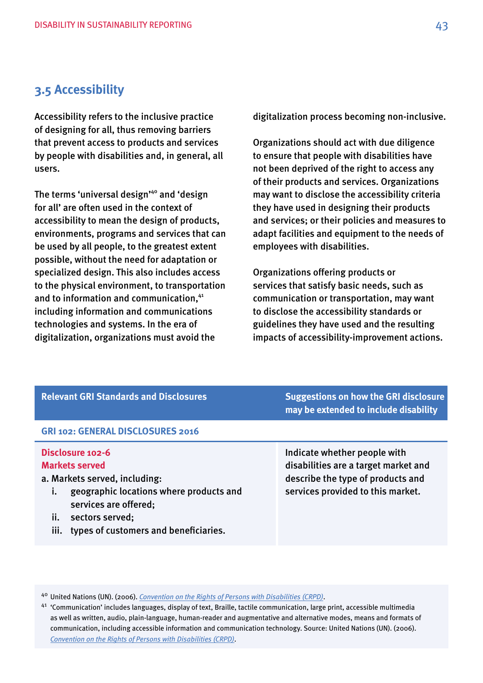# <span id="page-42-0"></span>**3.5 Accessibility**

Accessibility refers to the inclusive practice of designing for all, thus removing barriers that prevent access to products and services by people with disabilities and, in general, all users.

The terms 'universal design'<sup>40</sup> and 'design for all' are often used in the context of accessibility to mean the design of products, environments, programs and services that can be used by all people, to the greatest extent possible, without the need for adaptation or specialized design. This also includes access to the physical environment, to transportation and to information and communication,<sup>41</sup> including information and communications technologies and systems. In the era of digitalization, organizations must avoid the

digitalization process becoming non-inclusive.

Organizations should act with due diligence to ensure that people with disabilities have not been deprived of the right to access any of their products and services. Organizations may want to disclose the accessibility criteria they have used in designing their products and services; or their policies and measures to adapt facilities and equipment to the needs of employees with disabilities.

Organizations offering products or services that satisfy basic needs, such as communication or transportation, may want to disclose the accessibility standards or guidelines they have used and the resulting impacts of accessibility-improvement actions.

| <b>Relevant GRI Standards and Disclosures</b>                                                                                                                                                                                               | <b>Suggestions on how the GRI disclosure</b><br>may be extended to include disability                                                          |
|---------------------------------------------------------------------------------------------------------------------------------------------------------------------------------------------------------------------------------------------|------------------------------------------------------------------------------------------------------------------------------------------------|
| <b>GRI 102: GENERAL DISCLOSURES 2016</b>                                                                                                                                                                                                    |                                                                                                                                                |
| Disclosure 102-6<br><b>Markets served</b><br>a. Markets served, including:<br>geographic locations where products and<br>İ.<br>services are offered;<br>$\mathbf{ii}$ .<br>sectors served;<br>types of customers and beneficiaries.<br>iii. | Indicate whether people with<br>disabilities are a target market and<br>describe the type of products and<br>services provided to this market. |

40 United Nations (UN). (2006). *[Convention on the Rights of Persons with Disabilities \(CRPD\)](http://www.un.org/disabilities/documents/convention/convoptprot-e.pdf)*.

<sup>41</sup> 'Communication' includes languages, display of text, Braille, tactile communication, large print, accessible multimedia as well as written, audio, plain-language, human-reader and augmentative and alternative modes, means and formats of communication, including accessible information and communication technology. Source: United Nations (UN). (2006). *[Convention on the Rights of Persons with Disabilities \(CRPD\)](http://www.un.org/disabilities/documents/convention/convoptprot-e.pdf)*.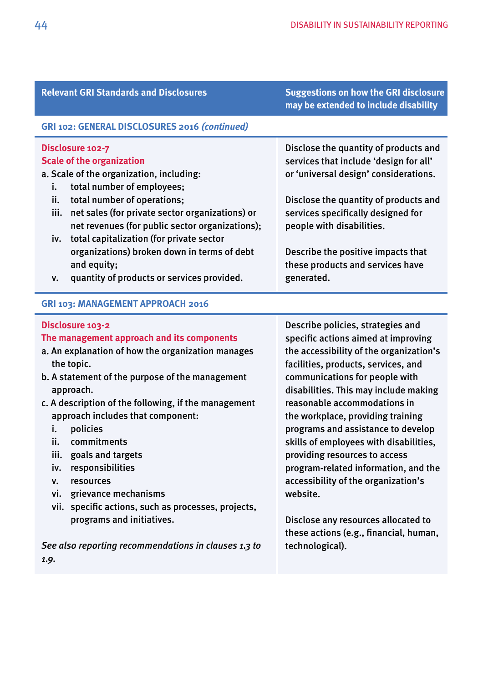#### **Relevant GRI Standards and Disclosures Suggestions on how the GRI disclosure**

# **may be extended to include disability**

Disclose the quantity of products and services that include 'design for all' or 'universal design' considerations.

Disclose the quantity of products and services specifcally designed for

Describe the positive impacts that these products and services have

people with disabilities.

generated.

#### **GRI 102: GENERAL DISCLOSURES 2016** *(continued)*

### **Disclosure 102-7 Scale of the organization**

### a. Scale of the organization, including:

- i. total number of employees;
- ii. total number of operations;
- iii. net sales (for private sector organizations) or net revenues (for public sector organizations);
- iv. total capitalization (for private sector organizations) broken down in terms of debt and equity;
- v. quantity of products or services provided.

#### **GRI 103: MANAGEMENT APPROACH 2016**

#### **Disclosure 103-2 The management approach and its components**  a. An explanation of how the organization manages the topic. b. A statement of the purpose of the management approach. c. A description of the following, if the management approach includes that component: i. policies ii. commitments iii. goals and targets iv. responsibilities v. resources vi. grievance mechanisms vii. specifc actions, such as processes, projects, programs and initiatives. *See also reporting recommendations in clauses 1.3 to*  Describe policies, strategies and specific actions aimed at improving the accessibility of the organization's facilities, products, services, and communications for people with disabilities. This may include making reasonable accommodations in the workplace, providing training programs and assistance to develop skills of employees with disabilities, providing resources to access program-related information, and the accessibility of the organization's website. Disclose any resources allocated to these actions (e.g., fnancial, human, technological).

*1.9.*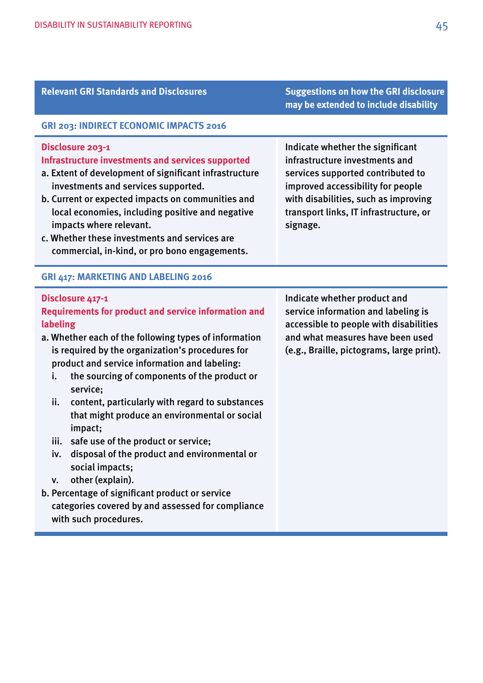| <b>Relevant GRI Standards and Disclosures</b>                                                                                                                                                                                                                                                                                                                                                                                                                                                                                                                                                                                                                                                                                      | <b>Suggestions on how the GRI disclosure</b><br>may be extended to include disability                                                                                                                                                      |  |
|------------------------------------------------------------------------------------------------------------------------------------------------------------------------------------------------------------------------------------------------------------------------------------------------------------------------------------------------------------------------------------------------------------------------------------------------------------------------------------------------------------------------------------------------------------------------------------------------------------------------------------------------------------------------------------------------------------------------------------|--------------------------------------------------------------------------------------------------------------------------------------------------------------------------------------------------------------------------------------------|--|
| GRI 203: INDIRECT ECONOMIC IMPACTS 2016                                                                                                                                                                                                                                                                                                                                                                                                                                                                                                                                                                                                                                                                                            |                                                                                                                                                                                                                                            |  |
| Disclosure 203-1<br>Infrastructure investments and services supported<br>a. Extent of development of significant infrastructure<br>investments and services supported.<br>b. Current or expected impacts on communities and<br>local economies, including positive and negative<br>impacts where relevant.<br>c. Whether these investments and services are<br>commercial, in-kind, or pro bono engagements.                                                                                                                                                                                                                                                                                                                       | Indicate whether the significant<br>infrastructure investments and<br>services supported contributed to<br>improved accessibility for people<br>with disabilities, such as improving<br>transport links, IT infrastructure, or<br>signage. |  |
| <b>GRI 417: MARKETING AND LABELING 2016</b>                                                                                                                                                                                                                                                                                                                                                                                                                                                                                                                                                                                                                                                                                        |                                                                                                                                                                                                                                            |  |
| Disclosure 417-1<br><b>Requirements for product and service information and</b><br>labeling<br>a. Whether each of the following types of information<br>is required by the organization's procedures for<br>product and service information and labeling:<br>the sourcing of components of the product or<br>i.<br>service;<br>ii.<br>content, particularly with regard to substances<br>that might produce an environmental or social<br>impact;<br>safe use of the product or service;<br>iii.<br>iv. disposal of the product and environmental or<br>social impacts;<br>other (explain).<br>v.<br>b. Percentage of significant product or service<br>categories covered by and assessed for compliance<br>with such procedures. | Indicate whether product and<br>service information and labeling is<br>accessible to people with disabilities<br>and what measures have been used<br>(e.g., Braille, pictograms, large print).                                             |  |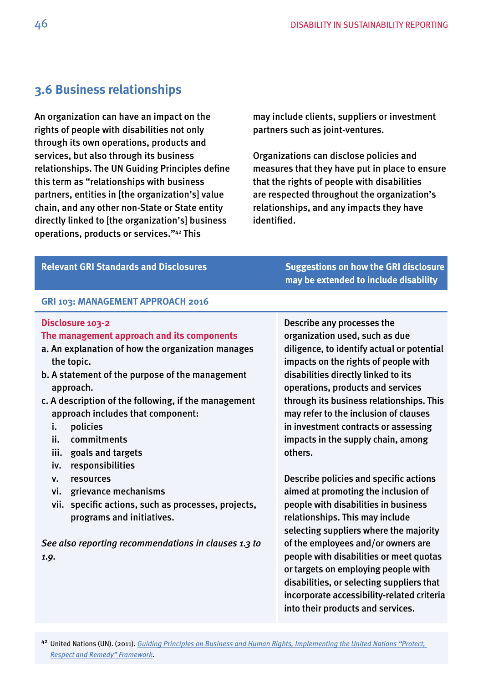# <span id="page-45-0"></span>**3.6 Business relationships**

An organization can have an impact on the rights of people with disabilities not only through its own operations, products and services, but also through its business relationships. The UN Guiding Principles defne this term as "relationships with business partners, entities in [the organization's] value chain, and any other non-State or State entity directly linked to [the organization's] business operations, products or services."42 This

may include clients, suppliers or investment partners such as joint-ventures.

Organizations can disclose policies and measures that they have put in place to ensure that the rights of people with disabilities are respected throughout the organization's relationships, and any impacts they have identifed.

| <b>Relevant GRI Standards and Disclosures</b>                                                                                                                                                                                                                                                                                                                                                                                                                                                                                                                                                        | <b>Suggestions on how the GRI disclosure</b><br>may be extended to include disability                                                                                                                                                                                                                                                                                                                        |
|------------------------------------------------------------------------------------------------------------------------------------------------------------------------------------------------------------------------------------------------------------------------------------------------------------------------------------------------------------------------------------------------------------------------------------------------------------------------------------------------------------------------------------------------------------------------------------------------------|--------------------------------------------------------------------------------------------------------------------------------------------------------------------------------------------------------------------------------------------------------------------------------------------------------------------------------------------------------------------------------------------------------------|
| GRI 103: MANAGEMENT APPROACH 2016                                                                                                                                                                                                                                                                                                                                                                                                                                                                                                                                                                    |                                                                                                                                                                                                                                                                                                                                                                                                              |
| Disclosure 103-2<br>The management approach and its components<br>a. An explanation of how the organization manages<br>the topic.<br>b. A statement of the purpose of the management<br>approach.<br>c. A description of the following, if the management<br>approach includes that component:<br>policies<br>i.<br>commitments<br>ii.<br>iii.<br>goals and targets<br>responsibilities<br>iv.<br>resources<br>V.<br>grievance mechanisms<br>vi.<br>vii. specific actions, such as processes, projects,<br>programs and initiatives.<br>See also reporting recommendations in clauses 1.3 to<br>1.9. | Describe any processes the<br>organization used, such as due<br>diligence, to identify actual or potential<br>impacts on the rights of people with<br>disabilities directly linked to its<br>operations, products and services<br>through its business relationships. This<br>may refer to the inclusion of clauses<br>in investment contracts or assessing<br>impacts in the supply chain, among<br>others. |
|                                                                                                                                                                                                                                                                                                                                                                                                                                                                                                                                                                                                      | Describe policies and specific actions<br>aimed at promoting the inclusion of<br>people with disabilities in business<br>relationships. This may include<br>selecting suppliers where the majority<br>of the employees and/or owners are<br>people with disabilities or meet quotas                                                                                                                          |
|                                                                                                                                                                                                                                                                                                                                                                                                                                                                                                                                                                                                      | or targets on employing people with<br>disabilities, or selecting suppliers that<br>incorporate accessibility-related criteria<br>into their products and services.                                                                                                                                                                                                                                          |
| <sup>42</sup> United Nations (UN). (2011). Guiding Principles on Business and Human Rights, Implementing the United Nations "Protect,<br><b>Respect and Remedy" Framework.</b>                                                                                                                                                                                                                                                                                                                                                                                                                       |                                                                                                                                                                                                                                                                                                                                                                                                              |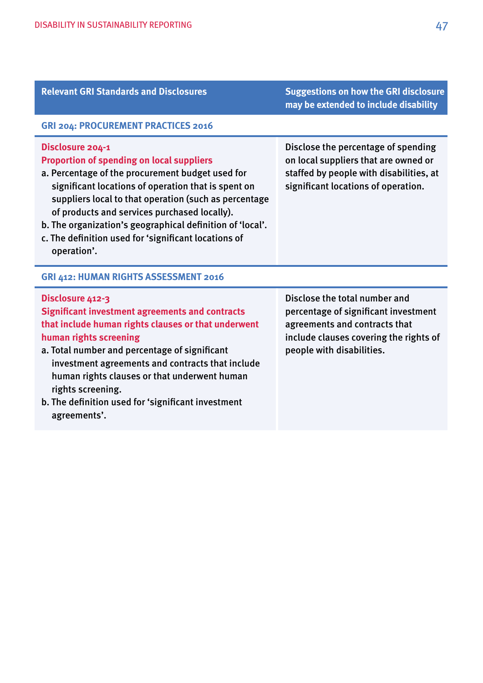| <b>Relevant GRI Standards and Disclosures</b>                                                                                                                                                                                                                                                                                                                                                                                | <b>Suggestions on how the GRI disclosure</b><br>may be extended to include disability                                                                                         |  |
|------------------------------------------------------------------------------------------------------------------------------------------------------------------------------------------------------------------------------------------------------------------------------------------------------------------------------------------------------------------------------------------------------------------------------|-------------------------------------------------------------------------------------------------------------------------------------------------------------------------------|--|
| <b>GRI 204: PROCUREMENT PRACTICES 2016</b>                                                                                                                                                                                                                                                                                                                                                                                   |                                                                                                                                                                               |  |
| Disclosure 204-1<br><b>Proportion of spending on local suppliers</b><br>a. Percentage of the procurement budget used for<br>significant locations of operation that is spent on<br>suppliers local to that operation (such as percentage<br>of products and services purchased locally).<br>b. The organization's geographical definition of 'local'.<br>c. The definition used for 'significant locations of<br>operation'. | Disclose the percentage of spending<br>on local suppliers that are owned or<br>staffed by people with disabilities, at<br>significant locations of operation.                 |  |
| GRI 412: HUMAN RIGHTS ASSESSMENT 2016                                                                                                                                                                                                                                                                                                                                                                                        |                                                                                                                                                                               |  |
| Disclosure 412-3<br><b>Significant investment agreements and contracts</b><br>that include human rights clauses or that underwent<br>human rights screening<br>a. Total number and percentage of significant<br>investment agreements and contracts that include<br>human rights clauses or that underwent human<br>rights screening.<br>b. The definition used for 'significant investment<br>agreements'.                  | Disclose the total number and<br>percentage of significant investment<br>agreements and contracts that<br>include clauses covering the rights of<br>people with disabilities. |  |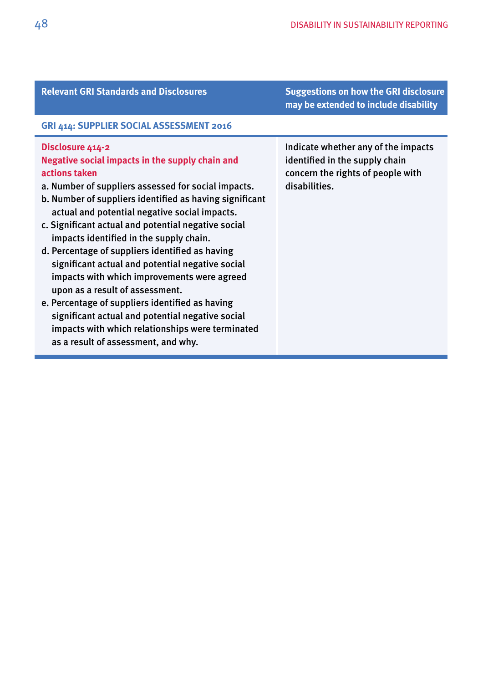|                                                                                                                                                                                                                                                                                                                                                                                                                                                                                                                                                                                                                                                                                                                                                      | may be extended to include disability                                                                                       |
|------------------------------------------------------------------------------------------------------------------------------------------------------------------------------------------------------------------------------------------------------------------------------------------------------------------------------------------------------------------------------------------------------------------------------------------------------------------------------------------------------------------------------------------------------------------------------------------------------------------------------------------------------------------------------------------------------------------------------------------------------|-----------------------------------------------------------------------------------------------------------------------------|
| GRI 414: SUPPLIER SOCIAL ASSESSMENT 2016                                                                                                                                                                                                                                                                                                                                                                                                                                                                                                                                                                                                                                                                                                             |                                                                                                                             |
| Disclosure 414-2<br>Negative social impacts in the supply chain and<br>actions taken<br>a. Number of suppliers assessed for social impacts.<br>b. Number of suppliers identified as having significant<br>actual and potential negative social impacts.<br>c. Significant actual and potential negative social<br>impacts identified in the supply chain.<br>d. Percentage of suppliers identified as having<br>significant actual and potential negative social<br>impacts with which improvements were agreed<br>upon as a result of assessment.<br>e. Percentage of suppliers identified as having<br>significant actual and potential negative social<br>impacts with which relationships were terminated<br>as a result of assessment, and why. | Indicate whether any of the impacts<br>identified in the supply chain<br>concern the rights of people with<br>disabilities. |

**Relevant GRI Standards and Disclosures Suggestions on how the GRI disclosure**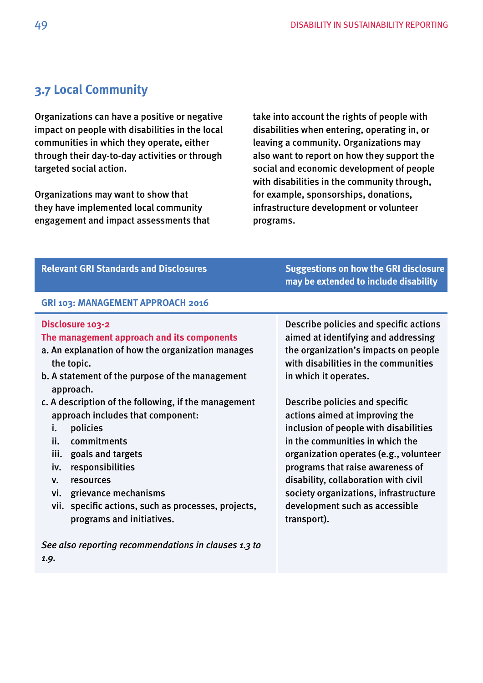# <span id="page-48-0"></span>**3.7 Local Community**

Organizations can have a positive or negative impact on people with disabilities in the local communities in which they operate, either through their day-to-day activities or through targeted social action.

Organizations may want to show that they have implemented local community engagement and impact assessments that take into account the rights of people with disabilities when entering, operating in, or leaving a community. Organizations may also want to report on how they support the social and economic development of people with disabilities in the community through, for example, sponsorships, donations, infrastructure development or volunteer programs.

| <b>Relevant GRI Standards and Disclosures</b>                                                                                                                                                                                                                                                                                                                                                                                                                                                                                        | <b>Suggestions on how the GRI disclosure</b><br>may be extended to include disability                                                                                                                                                                                                                                                                                                                                                                                                                                                                  |
|--------------------------------------------------------------------------------------------------------------------------------------------------------------------------------------------------------------------------------------------------------------------------------------------------------------------------------------------------------------------------------------------------------------------------------------------------------------------------------------------------------------------------------------|--------------------------------------------------------------------------------------------------------------------------------------------------------------------------------------------------------------------------------------------------------------------------------------------------------------------------------------------------------------------------------------------------------------------------------------------------------------------------------------------------------------------------------------------------------|
| GRI 103: MANAGEMENT APPROACH 2016                                                                                                                                                                                                                                                                                                                                                                                                                                                                                                    |                                                                                                                                                                                                                                                                                                                                                                                                                                                                                                                                                        |
| Disclosure 103-2<br>The management approach and its components<br>a. An explanation of how the organization manages<br>the topic.<br>b. A statement of the purpose of the management<br>approach.<br>c. A description of the following, if the management<br>approach includes that component:<br>policies<br>i.<br>commitments<br>ii.<br>iii.<br>goals and targets<br>responsibilities<br>iv.<br>resources<br>v.<br>grievance mechanisms<br>vi.<br>vii. specific actions, such as processes, projects,<br>programs and initiatives. | Describe policies and specific actions<br>aimed at identifying and addressing<br>the organization's impacts on people<br>with disabilities in the communities<br>in which it operates.<br>Describe policies and specific<br>actions aimed at improving the<br>inclusion of people with disabilities<br>in the communities in which the<br>organization operates (e.g., volunteer<br>programs that raise awareness of<br>disability, collaboration with civil<br>society organizations, infrastructure<br>development such as accessible<br>transport). |
| See also reporting recommendations in clauses 1.3 to                                                                                                                                                                                                                                                                                                                                                                                                                                                                                 |                                                                                                                                                                                                                                                                                                                                                                                                                                                                                                                                                        |

*1.9.*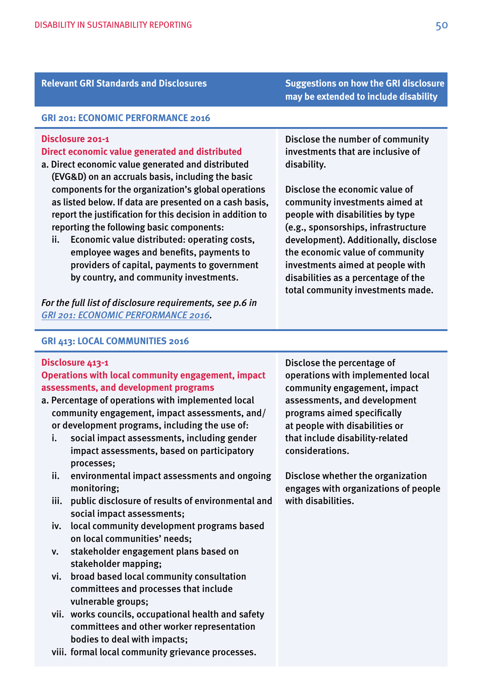# **Relevant GRI Standards and Disclosures Suggestions on how the GRI disclosure**

#### **GRI 201: ECONOMIC PERFORMANCE 2016**

#### **Disclosure 201-1**

#### **Direct economic value generated and distributed**

- a. Direct economic value generated and distributed (EVG&D) on an accruals basis, including the basic components for the organization's global operations as listed below. If data are presented on a cash basis, report the justifcation for this decision in addition to reporting the following basic components:
	- ii. Economic value distributed: operating costs, employee wages and benefts, payments to providers of capital, payments to government by country, and community investments.

*For the full list of disclosure requirements, see p.6 in [GRI 201: ECONOMIC PERFORMANCE 2016](https://www.globalreporting.org/standards/media/1039/gri-201-economic-performance-2016.pdf).* 

### Disclose the number of community investments that are inclusive of disability.

**may be extended to include disability** 

 Disclose the economic value of community investments aimed at people with disabilities by type (e.g., sponsorships, infrastructure development). Additionally, disclose the economic value of community investments aimed at people with disabilities as a percentage of the total community investments made.

#### **GRI 413: LOCAL COMMUNITIES 2016**

#### **Disclosure 413-1**

# **Operations with local community engagement, impact assessments, and development programs**

- a. Percentage of operations with implemented local community engagement, impact assessments, and/ or development programs, including the use of:
	- i. social impact assessments, including gender impact assessments, based on participatory processes;
	- ii. environmental impact assessments and ongoing monitoring;
	- iii. public disclosure of results of environmental and social impact assessments;
	- iv. local community development programs based on local communities' needs;
	- v. stakeholder engagement plans based on stakeholder mapping;
	- vi. broad based local community consultation committees and processes that include vulnerable groups;
	- vii. works councils, occupational health and safety committees and other worker representation bodies to deal with impacts;
	- viii. formal local community grievance processes.

Disclose the percentage of operations with implemented local community engagement, impact assessments, and development programs aimed specifcally at people with disabilities or that include disability-related considerations.

Disclose whether the organization engages with organizations of people with disabilities.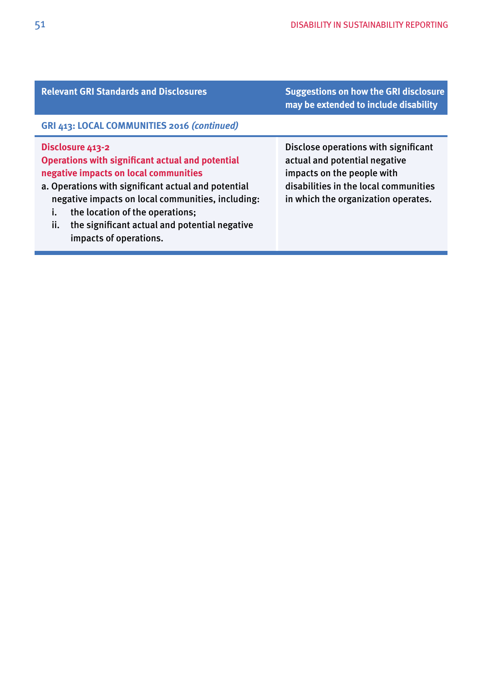| <b>Relevant GRI Standards and Disclosures</b>                                                                                                                                                                                                                                                                                                               | <b>Suggestions on how the GRI disclosure</b><br>may be extended to include disability                                                                                               |
|-------------------------------------------------------------------------------------------------------------------------------------------------------------------------------------------------------------------------------------------------------------------------------------------------------------------------------------------------------------|-------------------------------------------------------------------------------------------------------------------------------------------------------------------------------------|
| GRI 413: LOCAL COMMUNITIES 2016 (continued)                                                                                                                                                                                                                                                                                                                 |                                                                                                                                                                                     |
| Disclosure 413-2<br><b>Operations with significant actual and potential</b><br>negative impacts on local communities<br>a. Operations with significant actual and potential<br>negative impacts on local communities, including:<br>the location of the operations;<br>i.<br>ii.<br>the significant actual and potential negative<br>impacts of operations. | Disclose operations with significant<br>actual and potential negative<br>impacts on the people with<br>disabilities in the local communities<br>in which the organization operates. |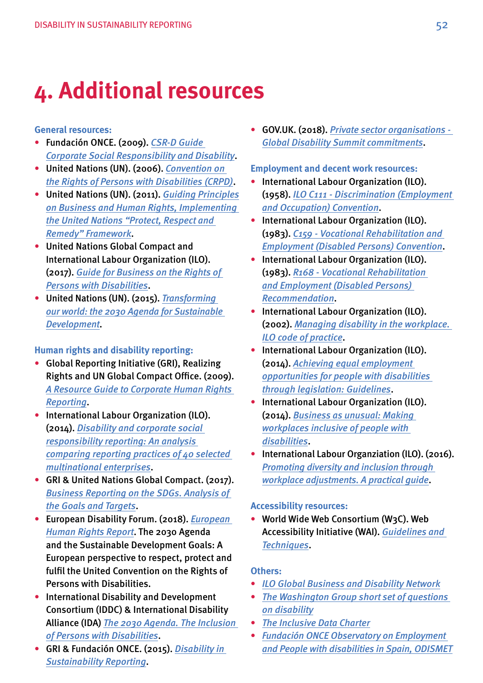# <span id="page-51-0"></span>**4. Additional resources**

#### **General resources:**

- Fundación ONCE. (2009). *[CSR-D Guide](http://rsed.fundaciononce.es/en/index.html)  [Corporate Social Responsibility and Disability](http://rsed.fundaciononce.es/en/index.html)*.
- United Nations (UN). (2006). *[Convention on](http://www.un.org/disabilities/documents/convention/convoptprot-e.pdf)  [the Rights of Persons with Disabilities \(CRPD\)](http://www.un.org/disabilities/documents/convention/convoptprot-e.pdf)*.
- United Nations (UN). (2011). *[Guiding Principles](http://www.ohchr.org/documents/publications/GuidingprinciplesBusinesshr_en.pdf)  [on Business and Human Rights, Implementing](http://www.ohchr.org/documents/publications/GuidingprinciplesBusinesshr_en.pdf)  [the United Nations "Protect, Respect and](http://www.ohchr.org/documents/publications/GuidingprinciplesBusinesshr_en.pdf)  [Remedy" Framework](http://www.ohchr.org/documents/publications/GuidingprinciplesBusinesshr_en.pdf)*.
- United Nations Global Compact and International Labour Organization (ILO). (2017). *[Guide for Business on the Rights of](https://www.unglobalcompact.org/docs/publications/Accessible_Disabilities_Guide.pdf)  [Persons with Disabilities](https://www.unglobalcompact.org/docs/publications/Accessible_Disabilities_Guide.pdf)*.
- United Nations (UN). (2015). *[Transforming](https://sustainabledevelopment.un.org/post2015/transformingourworld)  [our world: the 2030 Agenda for Sustainable](https://sustainabledevelopment.un.org/post2015/transformingourworld)  [Development](https://sustainabledevelopment.un.org/post2015/transformingourworld)*.

### **Human rights and disability reporting:**

- Global Reporting Initiative (GRI), Realizing Rights and UN Global Compact Office. (2009). *[A Resource Guide to Corporate Human Rights](https://www.globalreporting.org/resourcelibrary/A-Resource-Guide-to-Corporate-Human-Rights-Reporting.pdf)  [Reporting](https://www.globalreporting.org/resourcelibrary/A-Resource-Guide-to-Corporate-Human-Rights-Reporting.pdf)*.
- International Labour Organization (ILO). (2014). *[Disability and corporate social](http://www.ilo.org/wcmsp5/groups/public/---ed_emp/---ifp_skills/documents/publication/wcms_316814.pdf)  [responsibility reporting: An analysis](http://www.ilo.org/wcmsp5/groups/public/---ed_emp/---ifp_skills/documents/publication/wcms_316814.pdf)  [comparing reporting practices of 40 selected](http://www.ilo.org/wcmsp5/groups/public/---ed_emp/---ifp_skills/documents/publication/wcms_316814.pdf)  [multinational enterprises](http://www.ilo.org/wcmsp5/groups/public/---ed_emp/---ifp_skills/documents/publication/wcms_316814.pdf)*.
- GRI & United Nations Global Compact. (2017). *[Business Reporting on the SDGs. Analysis of](https://www.globalreporting.org/resourcelibrary/GRI_UNGC_Business-Reporting-on-SDGs_Analysis-of-Goals-and-Targets.pdf)  [the Goals and Targets](https://www.globalreporting.org/resourcelibrary/GRI_UNGC_Business-Reporting-on-SDGs_Analysis-of-Goals-and-Targets.pdf)*.
- European Disability Forum. (2018). *[European](http://www.edf-feph.org/sites/default/files/edf_-_sdgs_human_rights_report_final_accessible.pdf)  [Human Rights Report](http://www.edf-feph.org/sites/default/files/edf_-_sdgs_human_rights_report_final_accessible.pdf)*. The 2030 Agenda and the Sustainable Development Goals: A European perspective to respect, protect and fulfl the United Convention on the Rights of Persons with Disabilities.
- International Disability and Development Consortium (IDDC) & International Disability Alliance (IDA) *[The 2030 Agenda. The Inclusion](https://iddcconsortium.net/sites/default/files/resources-tools/files/2030_agenda_comprehensive_guide_for_persons_with_disabilities.pdf)  [of Persons with Disabilities](https://iddcconsortium.net/sites/default/files/resources-tools/files/2030_agenda_comprehensive_guide_for_persons_with_disabilities.pdf)*.
- GRI & Fundación ONCE. (2015). *[Disability in](https://www.globalreporting.org/resourcelibrary/GRI-and-Fundacion-ONCE-Disability-in-Sustainability-Reporting.pdf)  [Sustainability Reporting](https://www.globalreporting.org/resourcelibrary/GRI-and-Fundacion-ONCE-Disability-in-Sustainability-Reporting.pdf)*.

• GOV.UK. (2018). *[Private sector organisations -](https://www.gov.uk/government/publications/private-sector-organisations)  [Global Disability Summit commitments](https://www.gov.uk/government/publications/private-sector-organisations)*.

#### **Employment and decent work resources:**

- International Labour Organization (ILO). (1958). *[ILO C111 - Discrimination \(Employment](http://www.ilo.org/dyn/normlex/en/f?p=1000:12100:0::NO::P12100_ILO_CODE:C111)  [and Occupation\) Convention](http://www.ilo.org/dyn/normlex/en/f?p=1000:12100:0::NO::P12100_ILO_CODE:C111)*.
- International Labour Organization (ILO). (1983). *[C159 - Vocational Rehabilitation and](http://www.ilo.org/dyn/normlex/en/f?p=NORMLEXPUB:12100:0::NO:12100:P12100_INSTRUMENT_ID:312304:NO)  [Employment \(Disabled Persons\) Convention](http://www.ilo.org/dyn/normlex/en/f?p=NORMLEXPUB:12100:0::NO:12100:P12100_INSTRUMENT_ID:312304:NO)*.
- International Labour Organization (ILO). (1983). *[R168 - Vocational Rehabilitation](http://www.ilo.org/dyn/normlex/en/f?p=NORMLEXPUB:12100:0::NO:12100:P12100_INSTRUMENT_ID:312506:NO)  [and Employment \(Disabled Persons\)](http://www.ilo.org/dyn/normlex/en/f?p=NORMLEXPUB:12100:0::NO:12100:P12100_INSTRUMENT_ID:312506:NO)  [Recommendation](http://www.ilo.org/dyn/normlex/en/f?p=NORMLEXPUB:12100:0::NO:12100:P12100_INSTRUMENT_ID:312506:NO)*.
- International Labour Organization (ILO). (2002). *[Managing disability in the workplace.](http://ilo.org/wcmsp5/groups/public/---ed_emp/documents/publication/wcms_103324.pdf)  [ILO code of practice](http://ilo.org/wcmsp5/groups/public/---ed_emp/documents/publication/wcms_103324.pdf)*.
- International Labour Organization (ILO). (2014). *[Achieving equal employment](http://ilo.org/wcmsp5/groups/public/---ed_emp/---ifp_skills/documents/publication/wcms_322685.pdf)  [opportunities for people with disabilities](http://ilo.org/wcmsp5/groups/public/---ed_emp/---ifp_skills/documents/publication/wcms_322685.pdf)  [through legislation: Guidelines](http://ilo.org/wcmsp5/groups/public/---ed_emp/---ifp_skills/documents/publication/wcms_322685.pdf)*.
- International Labour Organization (ILO). (2014). *[Business as unusual: Making](http://www.ilo.org/wcmsp5/groups/public/---ed_emp/---ifp_skills/documents/publication/wcms_316815.pdf)  [workplaces inclusive of people with](http://www.ilo.org/wcmsp5/groups/public/---ed_emp/---ifp_skills/documents/publication/wcms_316815.pdf)  [disabilities](http://www.ilo.org/wcmsp5/groups/public/---ed_emp/---ifp_skills/documents/publication/wcms_316815.pdf)*.
- International Labour Organziation (ILO). (2016). *[Promoting diversity and inclusion through](http://www.ilo.org/wcmsp5/groups/public/---ed_norm/---declaration/documents/publication/wcms_536630.pdf)  [workplace adjustments. A practical guide](http://www.ilo.org/wcmsp5/groups/public/---ed_norm/---declaration/documents/publication/wcms_536630.pdf)*.

#### **Accessibility resources:**

• World Wide Web Consortium (W3C). Web Accessibility Initiative (WAI). *[Guidelines and](http://www.w3.org/WAI/guid-tech.html)  [Techniques](http://www.w3.org/WAI/guid-tech.html)*.

#### **Others:**

- *[ILO Global Business and Disability Network](http://www.businessanddisability.org/index.php?lang=en)*
- *[The Washington Group short set of questions](http://www.washingtongroup-disability.com/washington-group-question-sets/short-set-of-disability-questions/)  [on disability](http://www.washingtongroup-disability.com/washington-group-question-sets/short-set-of-disability-questions/)*
- *[The Inclusive Data Charter](http://www.data4sdgs.org/initiatives/inclusive-data-charter)*
- *[Fundación ONCE Observatory on Employment](http://www.odismet.es/)  [and People with disabilities in Spain, ODISMET](http://www.odismet.es/)*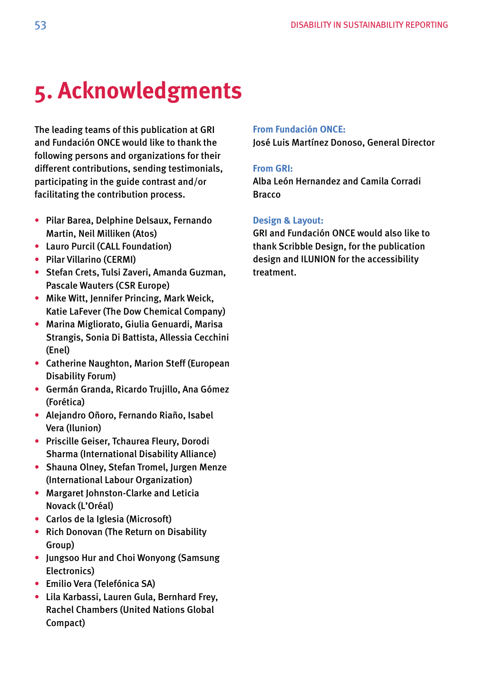# <span id="page-52-0"></span>**5. Acknowledgments**

The leading teams of this publication at GRI and Fundación ONCE would like to thank the following persons and organizations for their different contributions, sending testimonials, participating in the guide contrast and/or facilitating the contribution process.

- Pilar Barea, Delphine Delsaux, Fernando Martin, Neil Milliken (Atos)
- Lauro Purcil (CALL Foundation)
- Pilar Villarino (CERMI)
- Stefan Crets, Tulsi Zaveri, Amanda Guzman, Pascale Wauters (CSR Europe)
- Mike Witt, Jennifer Princing, Mark Weick, Katie LaFever (The Dow Chemical Company)
- Marina Migliorato, Giulia Genuardi, Marisa Strangis, Sonia Di Battista, Allessia Cecchini (Enel)
- Catherine Naughton, Marion Steff (European Disability Forum)
- Germán Granda, Ricardo Trujillo, Ana Gómez (Forética)
- Alejandro Oñoro, Fernando Riaño, Isabel Vera (Ilunion)
- Priscille Geiser, Tchaurea Fleury, Dorodi Sharma (International Disability Alliance)
- Shauna Olney, Stefan Tromel, Jurgen Menze (International Labour Organization)
- Margaret Johnston-Clarke and Leticia Novack (L'Oréal)
- Carlos de la Iglesia (Microsoft)
- Rich Donovan (The Return on Disability Group)
- Jungsoo Hur and Choi Wonyong (Samsung Electronics)
- Emilio Vera (Telefónica SA)
- Lila Karbassi, Lauren Gula, Bernhard Frey, Rachel Chambers (United Nations Global Compact)

## **From Fundación ONCE:**

José Luis Martínez Donoso, General Director

## **From GRI:**

Alba León Hernandez and Camila Corradi **Bracco** 

## **Design & Layout:**

GRI and Fundación ONCE would also like to thank Scribble Design, for the publication design and ILUNION for the accessibility treatment.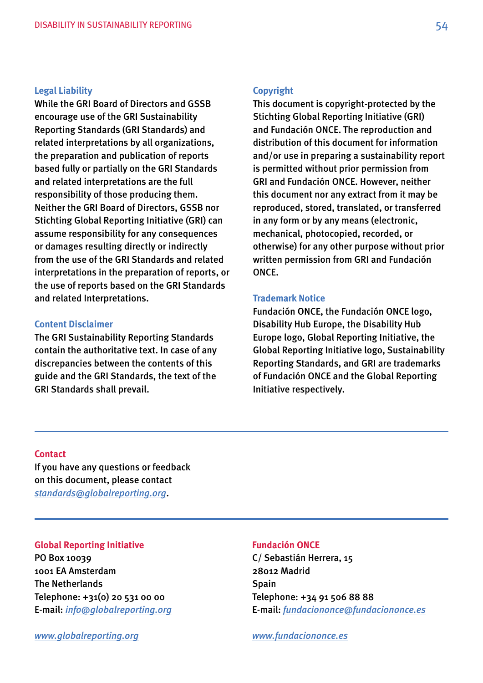#### **Legal Liability**

While the GRI Board of Directors and GSSB encourage use of the GRI Sustainability Reporting Standards (GRI Standards) and related interpretations by all organizations, the preparation and publication of reports based fully or partially on the GRI Standards and related interpretations are the full responsibility of those producing them. Neither the GRI Board of Directors, GSSB nor Stichting Global Reporting Initiative (GRI) can assume responsibility for any consequences or damages resulting directly or indirectly from the use of the GRI Standards and related interpretations in the preparation of reports, or the use of reports based on the GRI Standards and related Interpretations.

### **Content Disclaimer**

The GRI Sustainability Reporting Standards contain the authoritative text. In case of any discrepancies between the contents of this guide and the GRI Standards, the text of the GRI Standards shall prevail.

#### **Copyright**

This document is copyright-protected by the Stichting Global Reporting Initiative (GRI) and Fundación ONCE. The reproduction and distribution of this document for information and/or use in preparing a sustainability report is permitted without prior permission from GRI and Fundación ONCE. However, neither this document nor any extract from it may be reproduced, stored, translated, or transferred in any form or by any means (electronic, mechanical, photocopied, recorded, or otherwise) for any other purpose without prior written permission from GRI and Fundación ONCE.

#### **Trademark Notice**

Fundación ONCE, the Fundación ONCE logo, Disability Hub Europe, the Disability Hub Europe logo, Global Reporting Initiative, the Global Reporting Initiative logo, Sustainability Reporting Standards, and GRI are trademarks of Fundación ONCE and the Global Reporting Initiative respectively.

#### **Contact**

If you have any questions or feedback<br>on this document, please contact on this document, please contact *[standards@globalreporting.org](mailto:standards%40globalreporting.org?subject=)*.

#### **Global Reporting Initiative**

PO Box 10039 1001 EA Amsterdam The Netherlands Telephone: +31(0) 20 531 00 00 E-mail: *[info@globalreporting.org](mailto:info%40globalreporting.org?subject=)* 

#### *[www.globalreporting.org](http://www.globalreporting.org)*

### **Fundación ONCE**

C/ Sebastián Herrera, 15 28012 Madrid Spain Telephone: +34 91 506 88 88 E-mail: *[fundaciononce@fundaciononce.es](mailto:fundaciononce%40fundaciononce.es?subject=)* 

*[www.fundaciononce.es](http://www.fundaciononce.es)*